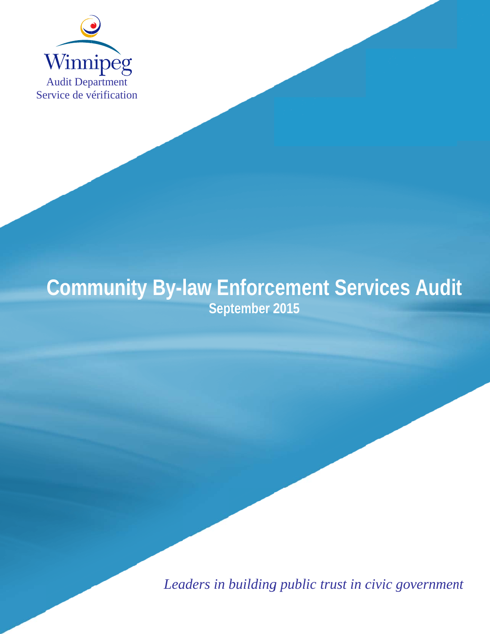

# **Community By-law Enforcement Services Audit Sep ptember 2 2015**

Leaders in building public trust in civic government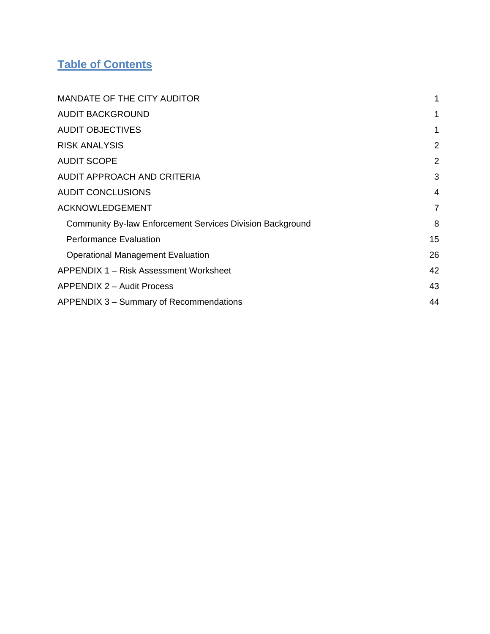# **Table of Contents**

| <b>MANDATE OF THE CITY AUDITOR</b>                               | 1              |
|------------------------------------------------------------------|----------------|
| <b>AUDIT BACKGROUND</b>                                          | 1              |
| <b>AUDIT OBJECTIVES</b>                                          | 1              |
| <b>RISK ANALYSIS</b>                                             | $\overline{2}$ |
| <b>AUDIT SCOPE</b>                                               | $\overline{2}$ |
| AUDIT APPROACH AND CRITERIA                                      | 3              |
| <b>AUDIT CONCLUSIONS</b>                                         | 4              |
| <b>ACKNOWLEDGEMENT</b>                                           | $\overline{7}$ |
| <b>Community By-law Enforcement Services Division Background</b> | 8              |
| <b>Performance Evaluation</b>                                    | 15             |
| <b>Operational Management Evaluation</b>                         | 26             |
| APPENDIX 1 – Risk Assessment Worksheet                           | 42             |
| <b>APPENDIX 2 - Audit Process</b>                                | 43             |
| APPENDIX 3 – Summary of Recommendations                          | 44             |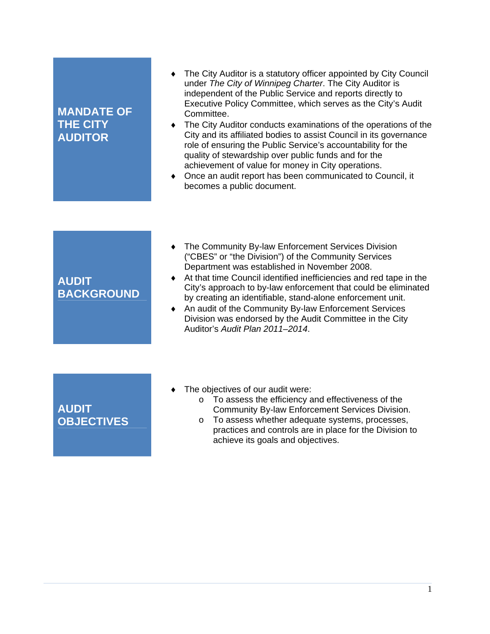## **MANDATE OF THE CITY AUDITOR**

- The City Auditor is a statutory officer appointed by City Council under *The City of Winnipeg Charter*. The City Auditor is independent of the Public Service and reports directly to Executive Policy Committee, which serves as the City's Audit Committee.
- The City Auditor conducts examinations of the operations of the City and its affiliated bodies to assist Council in its governance role of ensuring the Public Service's accountability for the quality of stewardship over public funds and for the achievement of value for money in City operations.
- Once an audit report has been communicated to Council, it becomes a public document.

## **AUDIT BACKGROUND**

- The Community By-law Enforcement Services Division ("CBES" or "the Division") of the Community Services Department was established in November 2008.
- At that time Council identified inefficiencies and red tape in the City's approach to by-law enforcement that could be eliminated by creating an identifiable, stand-alone enforcement unit.
- ◆ An audit of the Community By-law Enforcement Services Division was endorsed by the Audit Committee in the City Auditor's *Audit Plan 2011–2014*.

**AUDIT OBJECTIVES**

- The objectives of our audit were:
	- o To assess the efficiency and effectiveness of the Community By-law Enforcement Services Division.
	- o To assess whether adequate systems, processes, practices and controls are in place for the Division to achieve its goals and objectives.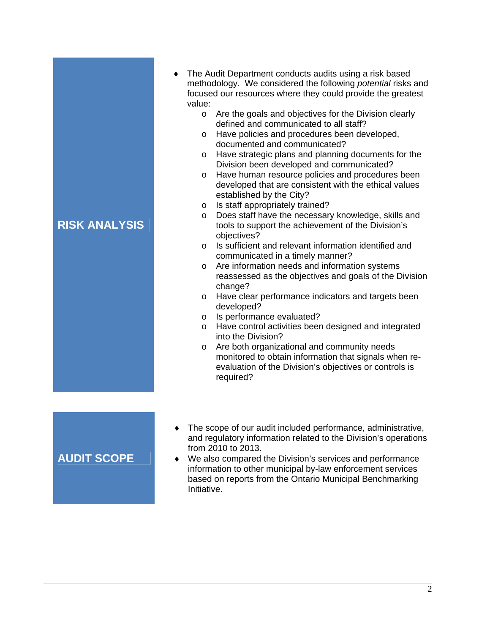- The Audit Department conducts audits using a risk based methodology. We considered the following *potential* risks and focused our resources where they could provide the greatest value:
	- o Are the goals and objectives for the Division clearly defined and communicated to all staff?
	- o Have policies and procedures been developed, documented and communicated?
	- o Have strategic plans and planning documents for the Division been developed and communicated?
	- o Have human resource policies and procedures been developed that are consistent with the ethical values established by the City?
	- o Is staff appropriately trained?
	- o Does staff have the necessary knowledge, skills and tools to support the achievement of the Division's objectives?
	- o Is sufficient and relevant information identified and communicated in a timely manner?
	- o Are information needs and information systems reassessed as the objectives and goals of the Division change?
	- o Have clear performance indicators and targets been developed?
	- o Is performance evaluated?
	- o Have control activities been designed and integrated into the Division?
	- o Are both organizational and community needs monitored to obtain information that signals when reevaluation of the Division's objectives or controls is required?

# **AUDIT SCOPE**

- The scope of our audit included performance, administrative, and regulatory information related to the Division's operations from 2010 to 2013.
- We also compared the Division's services and performance information to other municipal by-law enforcement services based on reports from the Ontario Municipal Benchmarking Initiative.

# **RISK ANALYSIS**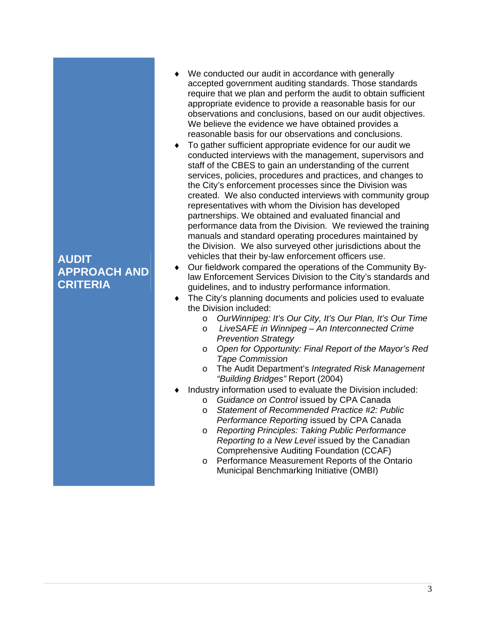## **AUDIT APPROACH AND CRITERIA**

- We conducted our audit in accordance with generally accepted government auditing standards. Those standards require that we plan and perform the audit to obtain sufficient appropriate evidence to provide a reasonable basis for our observations and conclusions, based on our audit objectives. We believe the evidence we have obtained provides a reasonable basis for our observations and conclusions.
- To gather sufficient appropriate evidence for our audit we conducted interviews with the management, supervisors and staff of the CBES to gain an understanding of the current services, policies, procedures and practices, and changes to the City's enforcement processes since the Division was created. We also conducted interviews with community group representatives with whom the Division has developed partnerships. We obtained and evaluated financial and performance data from the Division. We reviewed the training manuals and standard operating procedures maintained by the Division. We also surveyed other jurisdictions about the vehicles that their by-law enforcement officers use.
- Our fieldwork compared the operations of the Community Bylaw Enforcement Services Division to the City's standards and guidelines, and to industry performance information.
- The City's planning documents and policies used to evaluate the Division included:
	- o *OurWinnipeg: It's Our City, It's Our Plan, It's Our Time*
	- o *LiveSAFE in Winnipeg An Interconnected Crime Prevention Strategy*
	- o *Open for Opportunity: Final Report of the Mayor's Red Tape Commission*
	- o The Audit Department's *Integrated Risk Management "Building Bridges"* Report (2004)
- Industry information used to evaluate the Division included:
	- o *Guidance on Control* issued by CPA Canada
	- o *Statement of Recommended Practice #2: Public Performance Reporting* issued by CPA Canada
	- o *Reporting Principles: Taking Public Performance Reporting to a New Level* issued by the Canadian Comprehensive Auditing Foundation (CCAF)
	- o Performance Measurement Reports of the Ontario Municipal Benchmarking Initiative (OMBI)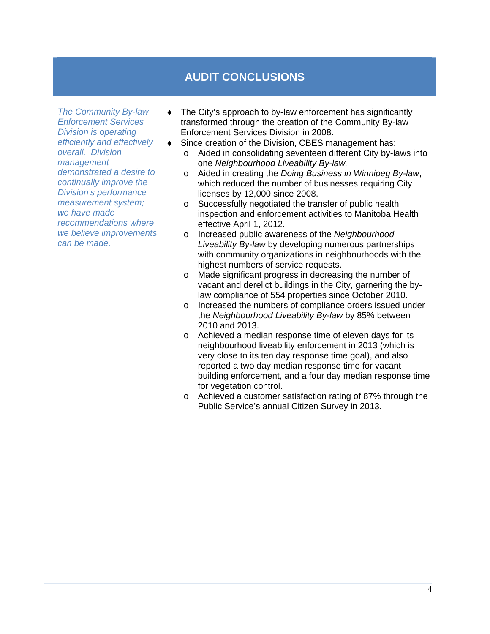# **AUDIT CONCLUSIONS**

*The Community By-law Enforcement Services Division is operating efficiently and effectively overall. Division management demonstrated a desire to continually improve the Division's performance measurement system; we have made recommendations where we believe improvements can be made.*

- The City's approach to by-law enforcement has significantly transformed through the creation of the Community By-law Enforcement Services Division in 2008.
	- Since creation of the Division, CBES management has:
		- o Aided in consolidating seventeen different City by-laws into one *Neighbourhood Liveability By-law.*
		- o Aided in creating the *Doing Business in Winnipeg By-law*, which reduced the number of businesses requiring City licenses by 12,000 since 2008.
		- o Successfully negotiated the transfer of public health inspection and enforcement activities to Manitoba Health effective April 1, 2012.
		- o Increased public awareness of the *Neighbourhood Liveability By-law* by developing numerous partnerships with community organizations in neighbourhoods with the highest numbers of service requests.
		- o Made significant progress in decreasing the number of vacant and derelict buildings in the City, garnering the bylaw compliance of 554 properties since October 2010.
		- o Increased the numbers of compliance orders issued under the *Neighbourhood Liveability By-law* by 85% between 2010 and 2013.
		- o Achieved a median response time of eleven days for its neighbourhood liveability enforcement in 2013 (which is very close to its ten day response time goal), and also reported a two day median response time for vacant building enforcement, and a four day median response time for vegetation control.
		- o Achieved a customer satisfaction rating of 87% through the Public Service's annual Citizen Survey in 2013.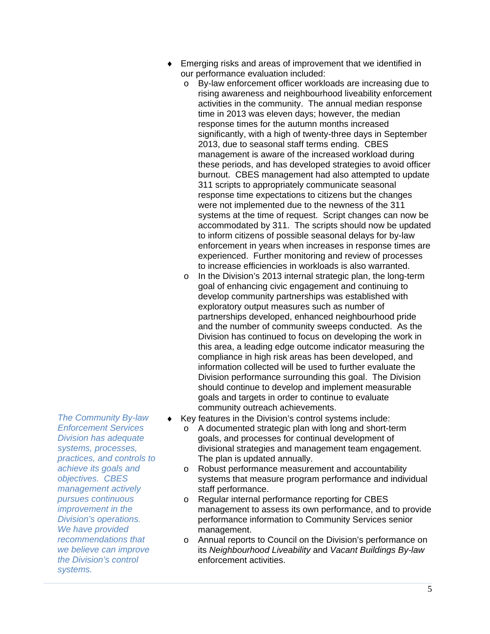- Emerging risks and areas of improvement that we identified in our performance evaluation included:
	- o By-law enforcement officer workloads are increasing due to rising awareness and neighbourhood liveability enforcement activities in the community. The annual median response time in 2013 was eleven days; however, the median response times for the autumn months increased significantly, with a high of twenty-three days in September 2013, due to seasonal staff terms ending. CBES management is aware of the increased workload during these periods, and has developed strategies to avoid officer burnout. CBES management had also attempted to update 311 scripts to appropriately communicate seasonal response time expectations to citizens but the changes were not implemented due to the newness of the 311 systems at the time of request. Script changes can now be accommodated by 311. The scripts should now be updated to inform citizens of possible seasonal delays for by-law enforcement in years when increases in response times are experienced. Further monitoring and review of processes to increase efficiencies in workloads is also warranted.
	- o In the Division's 2013 internal strategic plan, the long-term goal of enhancing civic engagement and continuing to develop community partnerships was established with exploratory output measures such as number of partnerships developed, enhanced neighbourhood pride and the number of community sweeps conducted. As the Division has continued to focus on developing the work in this area, a leading edge outcome indicator measuring the compliance in high risk areas has been developed, and information collected will be used to further evaluate the Division performance surrounding this goal. The Division should continue to develop and implement measurable goals and targets in order to continue to evaluate community outreach achievements.
- Key features in the Division's control systems include:
	- o A documented strategic plan with long and short-term goals, and processes for continual development of divisional strategies and management team engagement. The plan is updated annually.
	- o Robust performance measurement and accountability systems that measure program performance and individual staff performance.
	- o Regular internal performance reporting for CBES management to assess its own performance, and to provide performance information to Community Services senior management.
	- o Annual reports to Council on the Division's performance on its *Neighbourhood Liveability* and *Vacant Buildings By-law*  enforcement activities.

*The Community By-law Enforcement Services Division has adequate systems, processes, practices, and controls to achieve its goals and objectives. CBES management actively pursues continuous improvement in the Division's operations. We have provided recommendations that we believe can improve the Division's control systems.*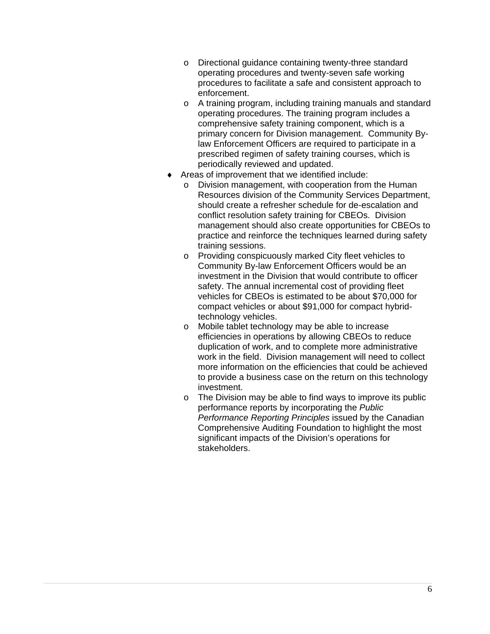- o Directional guidance containing twenty-three standard operating procedures and twenty-seven safe working procedures to facilitate a safe and consistent approach to enforcement.
- o A training program, including training manuals and standard operating procedures. The training program includes a comprehensive safety training component, which is a primary concern for Division management. Community Bylaw Enforcement Officers are required to participate in a prescribed regimen of safety training courses, which is periodically reviewed and updated.
- Areas of improvement that we identified include:
	- o Division management, with cooperation from the Human Resources division of the Community Services Department, should create a refresher schedule for de-escalation and conflict resolution safety training for CBEOs. Division management should also create opportunities for CBEOs to practice and reinforce the techniques learned during safety training sessions.
	- o Providing conspicuously marked City fleet vehicles to Community By-law Enforcement Officers would be an investment in the Division that would contribute to officer safety. The annual incremental cost of providing fleet vehicles for CBEOs is estimated to be about \$70,000 for compact vehicles or about \$91,000 for compact hybridtechnology vehicles.
	- o Mobile tablet technology may be able to increase efficiencies in operations by allowing CBEOs to reduce duplication of work, and to complete more administrative work in the field. Division management will need to collect more information on the efficiencies that could be achieved to provide a business case on the return on this technology investment.
	- o The Division may be able to find ways to improve its public performance reports by incorporating the *Public Performance Reporting Principles* issued by the Canadian Comprehensive Auditing Foundation to highlight the most significant impacts of the Division's operations for stakeholders.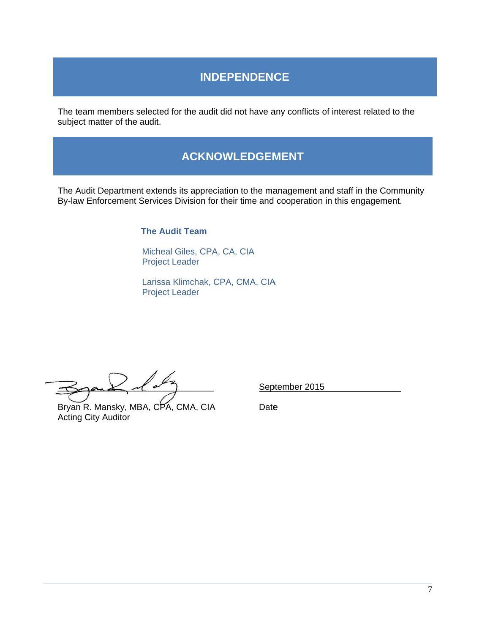# **INDEPENDENCE**

The team members selected for the audit did not have any conflicts of interest r subject matter of the audit.

## **A ACKNOW WLEDGEM MENT**

The Audit Department extends its appreciation to the management and staff in the Commun By-law Enforcement Services Division for their time and cooperation in this engagement. of interest related to the<br>and staff in the Commun<br>in this engagement.<br>5 e<br>inity

**The Audit Team** 

Micheal Giles, CPA, CA, CIA Project Leader

Larissa Klimchak, CPA, CMA, CIA Project Leader

 $\preceq$  $\overline{\mathscr{Q}}$  $\sim$ \_\_\_\_\_\_\_

Bryan R. Mansky, M BA, CPA, C MA, CIA Acting C ity Auditor

September 2015

**Date**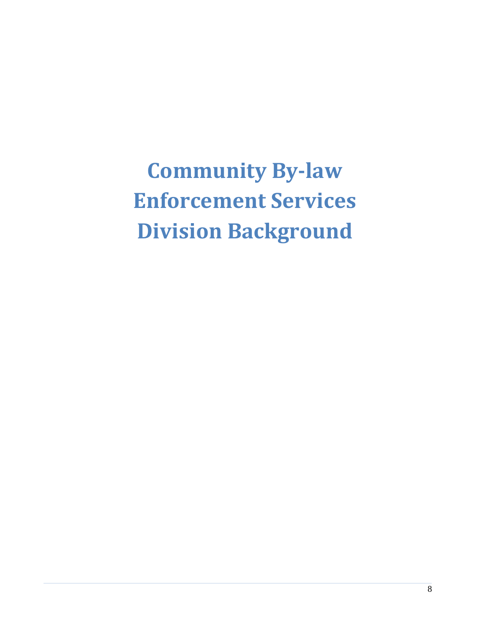**Community By‐law Enforcement Services Division Background**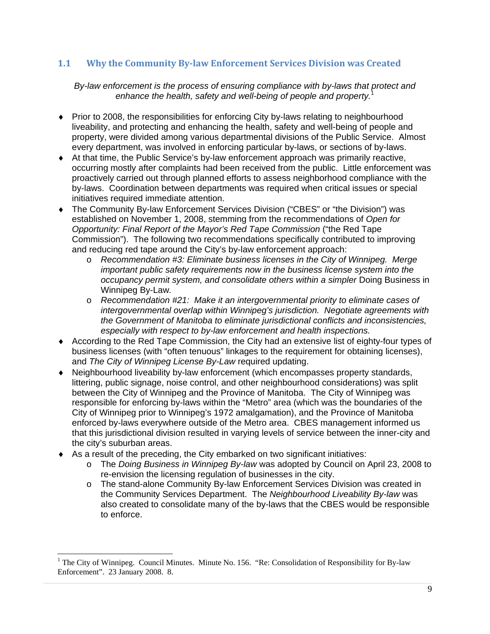#### **1.1 Why the Community By‐law Enforcement Services Division was Created**

#### *By-law enforcement is the process of ensuring compliance with by-laws that protect and enhance the health, safety and well-being of people and property.*<sup>1</sup>

- Prior to 2008, the responsibilities for enforcing City by-laws relating to neighbourhood liveability, and protecting and enhancing the health, safety and well-being of people and property, were divided among various departmental divisions of the Public Service. Almost every department, was involved in enforcing particular by-laws, or sections of by-laws.
- At that time, the Public Service's by-law enforcement approach was primarily reactive, occurring mostly after complaints had been received from the public. Little enforcement was proactively carried out through planned efforts to assess neighborhood compliance with the by-laws. Coordination between departments was required when critical issues or special initiatives required immediate attention.
- The Community By-law Enforcement Services Division ("CBES" or "the Division") was established on November 1, 2008, stemming from the recommendations of *Open for Opportunity: Final Report of the Mayor's Red Tape Commission* ("the Red Tape Commission"). The following two recommendations specifically contributed to improving and reducing red tape around the City's by-law enforcement approach:
	- o *Recommendation #3: Eliminate business licenses in the City of Winnipeg. Merge important public safety requirements now in the business license system into the occupancy permit system, and consolidate others within a simpler* Doing Business in Winnipeg By-Law*.*
	- o *Recommendation #21: Make it an intergovernmental priority to eliminate cases of intergovernmental overlap within Winnipeg's jurisdiction. Negotiate agreements with the Government of Manitoba to eliminate jurisdictional conflicts and inconsistencies, especially with respect to by-law enforcement and health inspections.*
- According to the Red Tape Commission, the City had an extensive list of eighty-four types of business licenses (with "often tenuous" linkages to the requirement for obtaining licenses), and *The City of Winnipeg License By-Law* required updating.
- Neighbourhood liveability by-law enforcement (which encompasses property standards, littering, public signage, noise control, and other neighbourhood considerations) was split between the City of Winnipeg and the Province of Manitoba. The City of Winnipeg was responsible for enforcing by-laws within the "Metro" area (which was the boundaries of the City of Winnipeg prior to Winnipeg's 1972 amalgamation), and the Province of Manitoba enforced by-laws everywhere outside of the Metro area. CBES management informed us that this jurisdictional division resulted in varying levels of service between the inner-city and the city's suburban areas.
- As a result of the preceding, the City embarked on two significant initiatives:

- o The *Doing Business in Winnipeg By-law* was adopted by Council on April 23, 2008 to re-envision the licensing regulation of businesses in the city.
- o The stand-alone Community By-law Enforcement Services Division was created in the Community Services Department. The *Neighbourhood Liveability By-law* was also created to consolidate many of the by-laws that the CBES would be responsible to enforce.

<sup>&</sup>lt;sup>1</sup> The City of Winnipeg. Council Minutes. Minute No. 156. "Re: Consolidation of Responsibility for By-law Enforcement". 23 January 2008. 8.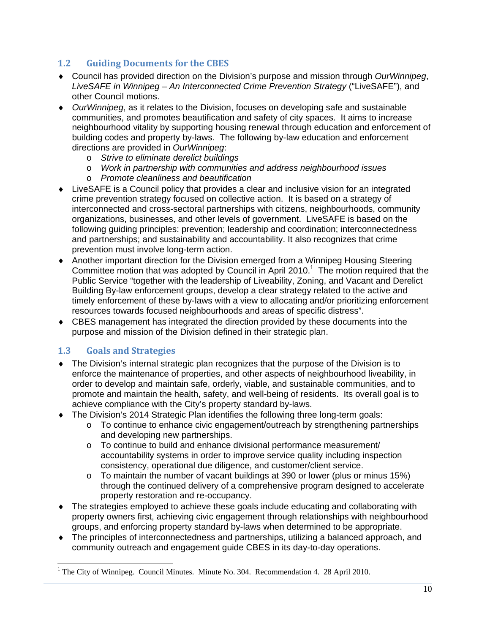#### **1.2 Guiding Documents for the CBES**

- Council has provided direction on the Division's purpose and mission through *OurWinnipeg*, *LiveSAFE in Winnipeg – An Interconnected Crime Prevention Strategy* ("LiveSAFE"), and other Council motions.
- *OurWinnipeg*, as it relates to the Division, focuses on developing safe and sustainable communities, and promotes beautification and safety of city spaces. It aims to increase neighbourhood vitality by supporting housing renewal through education and enforcement of building codes and property by-laws. The following by-law education and enforcement directions are provided in *OurWinnipeg*:
	- o *Strive to eliminate derelict buildings*
	- o *Work in partnership with communities and address neighbourhood issues*
	- o *Promote cleanliness and beautification*
- LiveSAFE is a Council policy that provides a clear and inclusive vision for an integrated crime prevention strategy focused on collective action. It is based on a strategy of interconnected and cross-sectoral partnerships with citizens, neighbourhoods, community organizations, businesses, and other levels of government. LiveSAFE is based on the following guiding principles: prevention; leadership and coordination; interconnectedness and partnerships; and sustainability and accountability. It also recognizes that crime prevention must involve long-term action.
- Another important direction for the Division emerged from a Winnipeg Housing Steering Committee motion that was adopted by Council in April 2010.<sup>1</sup> The motion required that the Public Service "together with the leadership of Liveability, Zoning, and Vacant and Derelict Building By-law enforcement groups, develop a clear strategy related to the active and timely enforcement of these by-laws with a view to allocating and/or prioritizing enforcement resources towards focused neighbourhoods and areas of specific distress".
- CBES management has integrated the direction provided by these documents into the purpose and mission of the Division defined in their strategic plan.

#### **1.3 Goals and Strategies**

- The Division's internal strategic plan recognizes that the purpose of the Division is to enforce the maintenance of properties, and other aspects of neighbourhood liveability, in order to develop and maintain safe, orderly, viable, and sustainable communities, and to promote and maintain the health, safety, and well-being of residents. Its overall goal is to achieve compliance with the City's property standard by-laws.
- The Division's 2014 Strategic Plan identifies the following three long-term goals:
	- $\circ$  To continue to enhance civic engagement/outreach by strengthening partnerships and developing new partnerships.
	- o To continue to build and enhance divisional performance measurement/ accountability systems in order to improve service quality including inspection consistency, operational due diligence, and customer/client service.
	- $\circ$  To maintain the number of vacant buildings at 390 or lower (plus or minus 15%) through the continued delivery of a comprehensive program designed to accelerate property restoration and re-occupancy.
- The strategies employed to achieve these goals include educating and collaborating with property owners first, achieving civic engagement through relationships with neighbourhood groups, and enforcing property standard by-laws when determined to be appropriate.
- The principles of interconnectedness and partnerships, utilizing a balanced approach, and community outreach and engagement guide CBES in its day-to-day operations.

<sup>&</sup>lt;sup>1</sup> The City of Winnipeg. Council Minutes. Minute No. 304. Recommendation 4. 28 April 2010.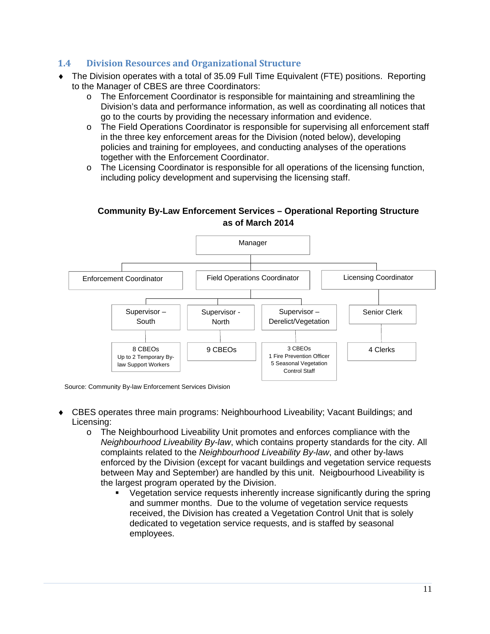#### **1.4 Division Resources and Organizational Structure**

- The Division operates with a total of 35.09 Full Time Equivalent (FTE) positions. Reporting to the Manager of CBES are three Coordinators:
	- o The Enforcement Coordinator is responsible for maintaining and streamlining the Division's data and performance information, as well as coordinating all notices that go to the courts by providing the necessary information and evidence.
	- o The Field Operations Coordinator is responsible for supervising all enforcement staff in the three key enforcement areas for the Division (noted below), developing policies and training for employees, and conducting analyses of the operations together with the Enforcement Coordinator.
	- o The Licensing Coordinator is responsible for all operations of the licensing function, including policy development and supervising the licensing staff.

#### **Community By-Law Enforcement Services – Operational Reporting Structure as of March 2014**



Source: Community By-law Enforcement Services Division

- CBES operates three main programs: Neighbourhood Liveability; Vacant Buildings; and Licensing:
	- o The Neighbourhood Liveability Unit promotes and enforces compliance with the *Neighbourhood Liveability By-law*, which contains property standards for the city. All complaints related to the *Neighbourhood Liveability By-law*, and other by-laws enforced by the Division (except for vacant buildings and vegetation service requests between May and September) are handled by this unit. Neigbourhood Liveability is the largest program operated by the Division.
		- Vegetation service requests inherently increase significantly during the spring and summer months. Due to the volume of vegetation service requests received, the Division has created a Vegetation Control Unit that is solely dedicated to vegetation service requests, and is staffed by seasonal employees.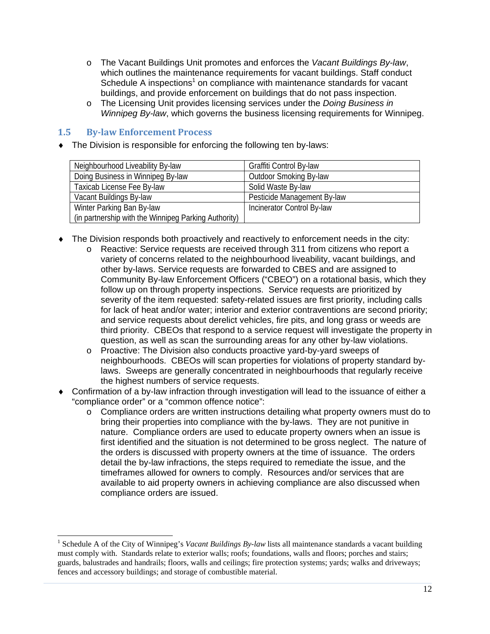- o The Vacant Buildings Unit promotes and enforces the *Vacant Buildings By-law*, which outlines the maintenance requirements for vacant buildings. Staff conduct Schedule A inspections<sup>1</sup> on compliance with maintenance standards for vacant buildings, and provide enforcement on buildings that do not pass inspection.
- o The Licensing Unit provides licensing services under the *Doing Business in Winnipeg By-law*, which governs the business licensing requirements for Winnipeg.

#### **1.5 By‐law Enforcement Process**

• The Division is responsible for enforcing the following ten by-laws:

| Neighbourhood Liveability By-law                     | Graffiti Control By-law     |
|------------------------------------------------------|-----------------------------|
| Doing Business in Winnipeg By-law                    | Outdoor Smoking By-law      |
| Taxicab License Fee By-law                           | Solid Waste By-law          |
| Vacant Buildings By-law                              | Pesticide Management By-law |
| Winter Parking Ban By-law                            | Incinerator Control By-law  |
| (in partnership with the Winnipeg Parking Authority) |                             |

- The Division responds both proactively and reactively to enforcement needs in the city:
	- o Reactive: Service requests are received through 311 from citizens who report a variety of concerns related to the neighbourhood liveability, vacant buildings, and other by-laws. Service requests are forwarded to CBES and are assigned to Community By-law Enforcement Officers ("CBEO") on a rotational basis, which they follow up on through property inspections. Service requests are prioritized by severity of the item requested: safety-related issues are first priority, including calls for lack of heat and/or water; interior and exterior contraventions are second priority; and service requests about derelict vehicles, fire pits, and long grass or weeds are third priority. CBEOs that respond to a service request will investigate the property in question, as well as scan the surrounding areas for any other by-law violations.
	- o Proactive: The Division also conducts proactive yard-by-yard sweeps of neighbourhoods. CBEOs will scan properties for violations of property standard bylaws. Sweeps are generally concentrated in neighbourhoods that regularly receive the highest numbers of service requests.
- Confirmation of a by-law infraction through investigation will lead to the issuance of either a "compliance order" or a "common offence notice":
	- $\circ$  Compliance orders are written instructions detailing what property owners must do to bring their properties into compliance with the by-laws. They are not punitive in nature. Compliance orders are used to educate property owners when an issue is first identified and the situation is not determined to be gross neglect. The nature of the orders is discussed with property owners at the time of issuance. The orders detail the by-law infractions, the steps required to remediate the issue, and the timeframes allowed for owners to comply. Resources and/or services that are available to aid property owners in achieving compliance are also discussed when compliance orders are issued.

<sup>&</sup>lt;sup>1</sup> Schedule A of the City of Winnipeg's *Vacant Buildings By-law* lists all maintenance standards a vacant building must comply with. Standards relate to exterior walls; roofs; foundations, walls and floors; porches and stairs; guards, balustrades and handrails; floors, walls and ceilings; fire protection systems; yards; walks and driveways; fences and accessory buildings; and storage of combustible material.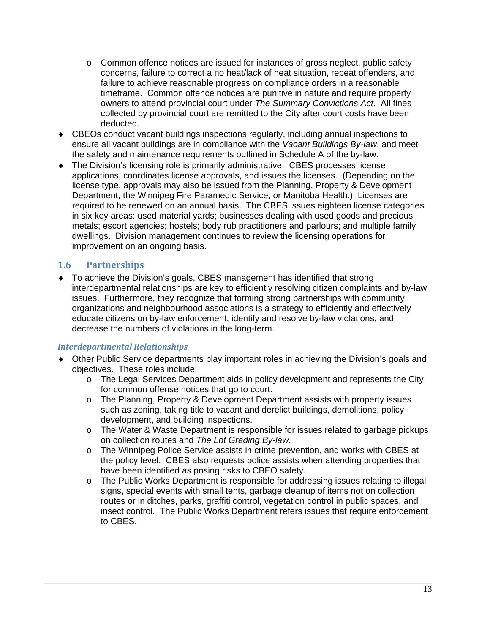- $\circ$  Common offence notices are issued for instances of gross neglect, public safety concerns, failure to correct a no heat/lack of heat situation, repeat offenders, and failure to achieve reasonable progress on compliance orders in a reasonable timeframe. Common offence notices are punitive in nature and require property owners to attend provincial court under *The Summary Convictions Act*. All fines collected by provincial court are remitted to the City after court costs have been deducted.
- CBEOs conduct vacant buildings inspections regularly, including annual inspections to ensure all vacant buildings are in compliance with the *Vacant Buildings By-law*, and meet the safety and maintenance requirements outlined in Schedule A of the by-law.
- The Division's licensing role is primarily administrative. CBES processes license applications, coordinates license approvals, and issues the licenses. (Depending on the license type, approvals may also be issued from the Planning, Property & Development Department, the Winnipeg Fire Paramedic Service, or Manitoba Health.) Licenses are required to be renewed on an annual basis. The CBES issues eighteen license categories in six key areas: used material yards; businesses dealing with used goods and precious metals; escort agencies; hostels; body rub practitioners and parlours; and multiple family dwellings. Division management continues to review the licensing operations for improvement on an ongoing basis.

#### **1.6 Partnerships**

 To achieve the Division's goals, CBES management has identified that strong interdepartmental relationships are key to efficiently resolving citizen complaints and by-law issues. Furthermore, they recognize that forming strong partnerships with community organizations and neighbourhood associations is a strategy to efficiently and effectively educate citizens on by-law enforcement, identify and resolve by-law violations, and decrease the numbers of violations in the long-term.

#### *Interdepartmental Relationships*

- Other Public Service departments play important roles in achieving the Division's goals and objectives. These roles include:
	- o The Legal Services Department aids in policy development and represents the City for common offense notices that go to court.
	- o The Planning, Property & Development Department assists with property issues such as zoning, taking title to vacant and derelict buildings, demolitions, policy development, and building inspections.
	- o The Water & Waste Department is responsible for issues related to garbage pickups on collection routes and *The Lot Grading By-law*.
	- o The Winnipeg Police Service assists in crime prevention, and works with CBES at the policy level. CBES also requests police assists when attending properties that have been identified as posing risks to CBEO safety.
	- o The Public Works Department is responsible for addressing issues relating to illegal signs, special events with small tents, garbage cleanup of items not on collection routes or in ditches, parks, graffiti control, vegetation control in public spaces, and insect control. The Public Works Department refers issues that require enforcement to CBES.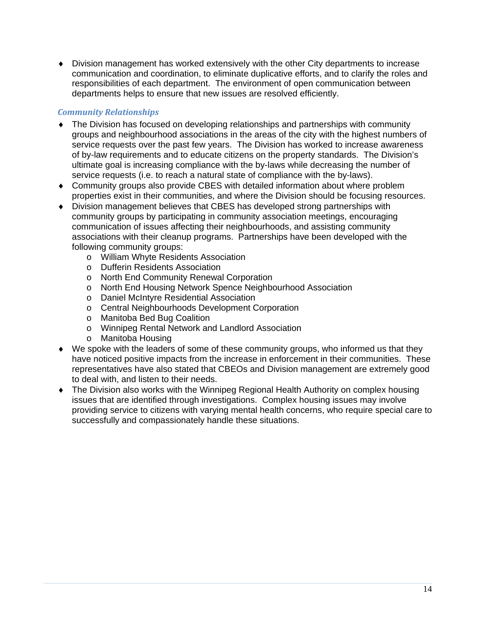Division management has worked extensively with the other City departments to increase communication and coordination, to eliminate duplicative efforts, and to clarify the roles and responsibilities of each department. The environment of open communication between departments helps to ensure that new issues are resolved efficiently.

#### *Community Relationships*

- The Division has focused on developing relationships and partnerships with community groups and neighbourhood associations in the areas of the city with the highest numbers of service requests over the past few years. The Division has worked to increase awareness of by-law requirements and to educate citizens on the property standards. The Division's ultimate goal is increasing compliance with the by-laws while decreasing the number of service requests (i.e. to reach a natural state of compliance with the by-laws).
- Community groups also provide CBES with detailed information about where problem properties exist in their communities, and where the Division should be focusing resources.
- Division management believes that CBES has developed strong partnerships with community groups by participating in community association meetings, encouraging communication of issues affecting their neighbourhoods, and assisting community associations with their cleanup programs. Partnerships have been developed with the following community groups:
	- o William Whyte Residents Association
	- o Dufferin Residents Association
	- o North End Community Renewal Corporation
	- o North End Housing Network Spence Neighbourhood Association
	- o Daniel McIntyre Residential Association
	- o Central Neighbourhoods Development Corporation
	- o Manitoba Bed Bug Coalition
	- o Winnipeg Rental Network and Landlord Association
	- o Manitoba Housing
- We spoke with the leaders of some of these community groups, who informed us that they have noticed positive impacts from the increase in enforcement in their communities. These representatives have also stated that CBEOs and Division management are extremely good to deal with, and listen to their needs.
- The Division also works with the Winnipeg Regional Health Authority on complex housing issues that are identified through investigations. Complex housing issues may involve providing service to citizens with varying mental health concerns, who require special care to successfully and compassionately handle these situations.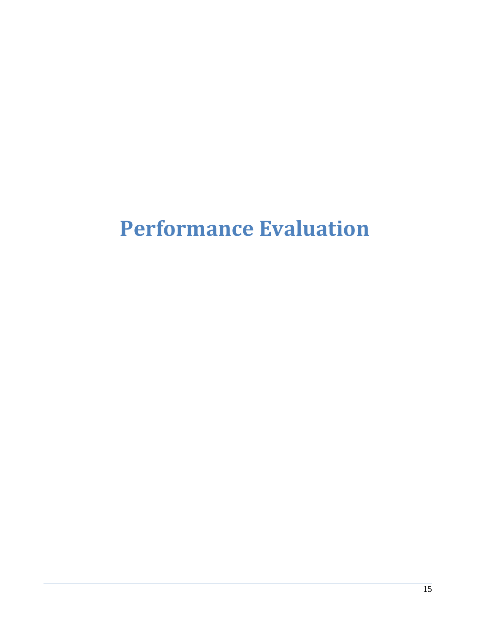# **Performance Evaluation**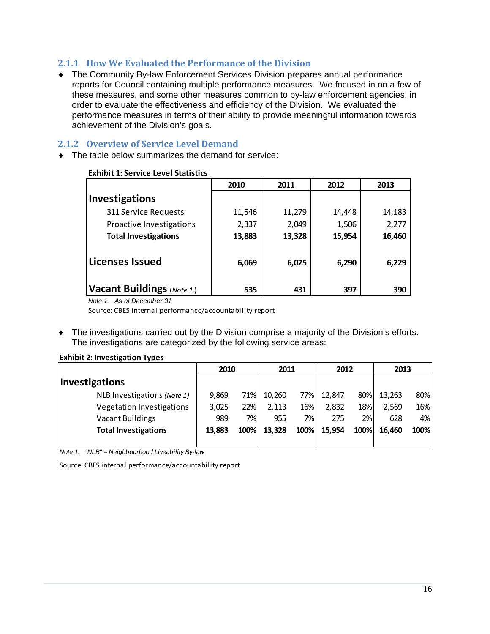#### **2.1.1 How We Evaluated the Performance of the Division**

 The Community By-law Enforcement Services Division prepares annual performance reports for Council containing multiple performance measures. We focused in on a few of these measures, and some other measures common to by-law enforcement agencies, in order to evaluate the effectiveness and efficiency of the Division. We evaluated the performance measures in terms of their ability to provide meaningful information towards achievement of the Division's goals.

#### **2.1.2 Overview of Service Level Demand**

 $\bullet$  The table below summarizes the demand for service:

|                             | 2010   | 2011   | 2012   | 2013   |
|-----------------------------|--------|--------|--------|--------|
| Investigations              |        |        |        |        |
| 311 Service Requests        | 11,546 | 11,279 | 14,448 | 14,183 |
| Proactive Investigations    | 2,337  | 2,049  | 1,506  | 2,277  |
| <b>Total Investigations</b> | 13,883 | 13,328 | 15,954 | 16,460 |
| Licenses Issued             | 6,069  | 6,025  | 6,290  | 6,229  |
| Vacant Buildings (Note 1)   | 535    | 431    | 397    | 390    |

#### **Exhibit 1: Service Level Statistics**

*Note 1. As at December 31*

Source: CBES internal performance/accountability report

 The investigations carried out by the Division comprise a majority of the Division's efforts. The investigations are categorized by the following service areas:

#### **Exhibit 2: Investigation Types**

|                             | 2010   |      | 2011   |      | 2012   |      | 2013   |      |
|-----------------------------|--------|------|--------|------|--------|------|--------|------|
| <b>Investigations</b>       |        |      |        |      |        |      |        |      |
| NLB Investigations (Note 1) | 9,869  | 71%  | 10,260 | 77%I | 12,847 | 80%l | 13,263 | 80%  |
| Vegetation Investigations   | 3,025  | 22%  | 2,113  | 16%  | 2,832  | 18%  | 2,569  | 16%  |
| <b>Vacant Buildings</b>     | 989    | 7%   | 955    | 7%l  | 275    | 2%   | 628    | 4%   |
| <b>Total Investigations</b> | 13,883 | 100% | 13,328 | 100% | 15,954 | 100% | 16,460 | 100% |
|                             |        |      |        |      |        |      |        |      |

*Note 1. "NLB" = Neighbourhood Liveability By-law*

Source: CBES internal performance/accountability report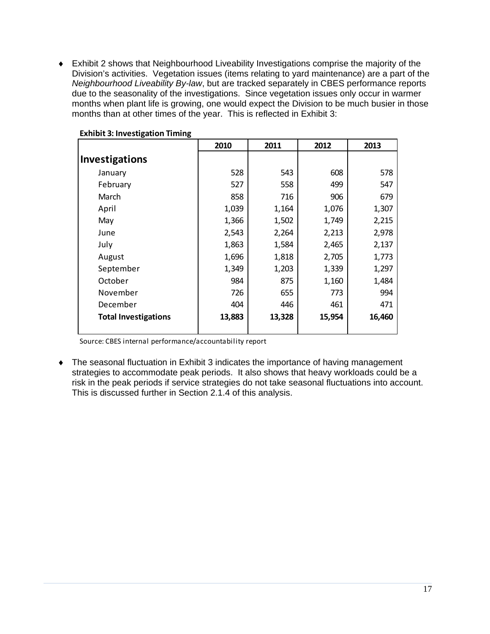Exhibit 2 shows that Neighbourhood Liveability Investigations comprise the majority of the Division's activities. Vegetation issues (items relating to yard maintenance) are a part of the *Neighbourhood Liveability By-law*, but are tracked separately in CBES performance reports due to the seasonality of the investigations. Since vegetation issues only occur in warmer months when plant life is growing, one would expect the Division to be much busier in those months than at other times of the year. This is reflected in Exhibit 3:

|                             | 2010   | 2011   | 2012   | 2013   |
|-----------------------------|--------|--------|--------|--------|
| <b>Investigations</b>       |        |        |        |        |
| January                     | 528    | 543    | 608    | 578    |
| February                    | 527    | 558    | 499    | 547    |
| March                       | 858    | 716    | 906    | 679    |
| April                       | 1,039  | 1,164  | 1,076  | 1,307  |
| May                         | 1,366  | 1,502  | 1,749  | 2,215  |
| June                        | 2,543  | 2,264  | 2,213  | 2,978  |
| July                        | 1,863  | 1,584  | 2,465  | 2,137  |
| August                      | 1,696  | 1,818  | 2,705  | 1,773  |
| September                   | 1,349  | 1,203  | 1,339  | 1,297  |
| October                     | 984    | 875    | 1,160  | 1,484  |
| November                    | 726    | 655    | 773    | 994    |
| December                    | 404    | 446    | 461    | 471    |
| <b>Total Investigations</b> | 13,883 | 13,328 | 15,954 | 16,460 |

#### **Exhibit 3: Investigation Timing**

Source: CBES internal performance/accountability report

 The seasonal fluctuation in Exhibit 3 indicates the importance of having management strategies to accommodate peak periods. It also shows that heavy workloads could be a risk in the peak periods if service strategies do not take seasonal fluctuations into account. This is discussed further in Section 2.1.4 of this analysis.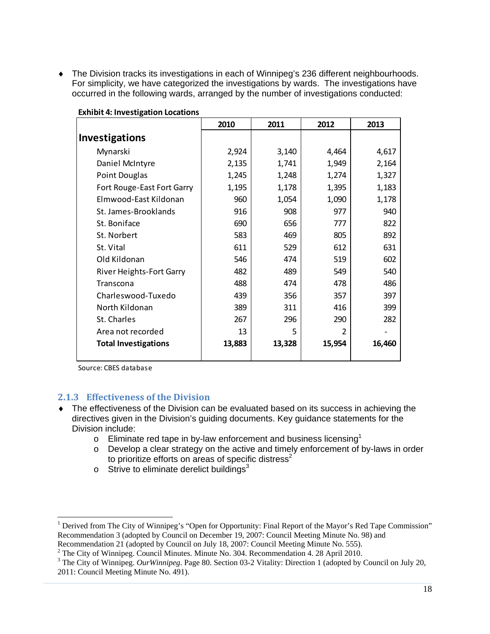The Division tracks its investigations in each of Winnipeg's 236 different neighbourhoods. For simplicity, we have categorized the investigations by wards. The investigations have occurred in the following wards, arranged by the number of investigations conducted:

|                                 | 2010   | 2011   | 2012   | 2013   |
|---------------------------------|--------|--------|--------|--------|
| <b>Investigations</b>           |        |        |        |        |
| Mynarski                        | 2,924  | 3,140  | 4,464  | 4,617  |
| Daniel McIntyre                 | 2,135  | 1,741  | 1,949  | 2,164  |
| Point Douglas                   | 1,245  | 1,248  | 1,274  | 1,327  |
| Fort Rouge-East Fort Garry      | 1,195  | 1,178  | 1,395  | 1,183  |
| Elmwood-East Kildonan           | 960    | 1,054  | 1,090  | 1,178  |
| St. James-Brooklands            | 916    | 908    | 977    | 940    |
| St. Boniface                    | 690    | 656    | 777    | 822    |
| St. Norbert                     | 583    | 469    | 805    | 892    |
| St. Vital                       | 611    | 529    | 612    | 631    |
| Old Kildonan                    | 546    | 474    | 519    | 602    |
| <b>River Heights-Fort Garry</b> | 482    | 489    | 549    | 540    |
| Transcona                       | 488    | 474    | 478    | 486    |
| Charleswood-Tuxedo              | 439    | 356    | 357    | 397    |
| North Kildonan                  | 389    | 311    | 416    | 399    |
| St. Charles                     | 267    | 296    | 290    | 282    |
| Area not recorded               | 13     | 5      | 2      |        |
| <b>Total Investigations</b>     | 13,883 | 13,328 | 15,954 | 16,460 |

**Exhibit 4: Investigation Locations**

Source: CBES database

#### **2.1.3 Effectiveness of the Division**

- The effectiveness of the Division can be evaluated based on its success in achieving the directives given in the Division's guiding documents. Key guidance statements for the Division include:
	- $\circ$  Eliminate red tape in by-law enforcement and business licensing<sup>1</sup>
	- o Develop a clear strategy on the active and timely enforcement of by-laws in order to prioritize efforts on areas of specific distress<sup>2</sup>
	- $\circ$  Strive to eliminate derelict buildings<sup>3</sup>

<sup>&</sup>lt;sup>1</sup> Derived from The City of Winnipeg's "Open for Opportunity: Final Report of the Mayor's Red Tape Commission" Recommendation 3 (adopted by Council on December 19, 2007: Council Meeting Minute No. 98) and Recommendation 21 (adopted by Council on July 18, 2007: Council Meeting Minute No. 555).

 $2^2$  The City of Winnipeg. Council Minutes. Minute No. 304. Recommendation 4. 28 April 2010.

<sup>&</sup>lt;sup>3</sup> The City of Winnipeg. *OurWinnipeg*. Page 80. Section 03-2 Vitality: Direction 1 (adopted by Council on July 20, 2011: Council Meeting Minute No. 491).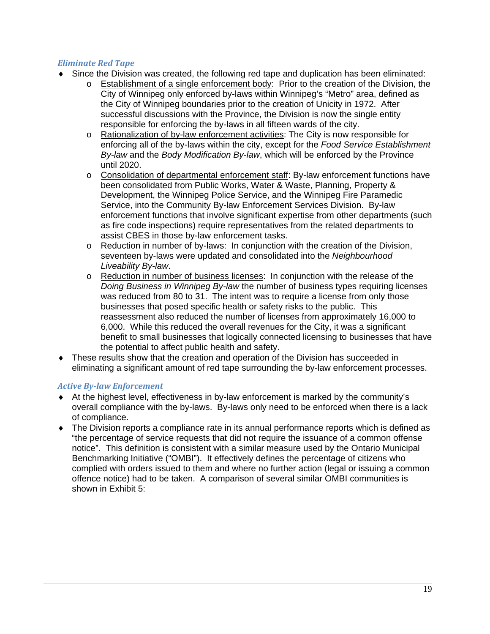#### *Eliminate Red Tape*

- Since the Division was created, the following red tape and duplication has been eliminated:
	- o Establishment of a single enforcement body: Prior to the creation of the Division, the City of Winnipeg only enforced by-laws within Winnipeg's "Metro" area, defined as the City of Winnipeg boundaries prior to the creation of Unicity in 1972. After successful discussions with the Province, the Division is now the single entity responsible for enforcing the by-laws in all fifteen wards of the city.
	- o Rationalization of by-law enforcement activities: The City is now responsible for enforcing all of the by-laws within the city, except for the *Food Service Establishment By-law* and the *Body Modification By-law*, which will be enforced by the Province until 2020.
	- o Consolidation of departmental enforcement staff: By-law enforcement functions have been consolidated from Public Works, Water & Waste, Planning, Property & Development, the Winnipeg Police Service, and the Winnipeg Fire Paramedic Service, into the Community By-law Enforcement Services Division. By-law enforcement functions that involve significant expertise from other departments (such as fire code inspections) require representatives from the related departments to assist CBES in those by-law enforcement tasks.
	- o Reduction in number of by-laws: In conjunction with the creation of the Division, seventeen by-laws were updated and consolidated into the *Neighbourhood Liveability By-law*.
	- $\circ$  Reduction in number of business licenses: In conjunction with the release of the *Doing Business in Winnipeg By-law* the number of business types requiring licenses was reduced from 80 to 31. The intent was to require a license from only those businesses that posed specific health or safety risks to the public. This reassessment also reduced the number of licenses from approximately 16,000 to 6,000. While this reduced the overall revenues for the City, it was a significant benefit to small businesses that logically connected licensing to businesses that have the potential to affect public health and safety.
- These results show that the creation and operation of the Division has succeeded in eliminating a significant amount of red tape surrounding the by-law enforcement processes.

#### *Active By‐law Enforcement*

- At the highest level, effectiveness in by-law enforcement is marked by the community's overall compliance with the by-laws. By-laws only need to be enforced when there is a lack of compliance.
- The Division reports a compliance rate in its annual performance reports which is defined as "the percentage of service requests that did not require the issuance of a common offense notice". This definition is consistent with a similar measure used by the Ontario Municipal Benchmarking Initiative ("OMBI"). It effectively defines the percentage of citizens who complied with orders issued to them and where no further action (legal or issuing a common offence notice) had to be taken. A comparison of several similar OMBI communities is shown in Exhibit 5: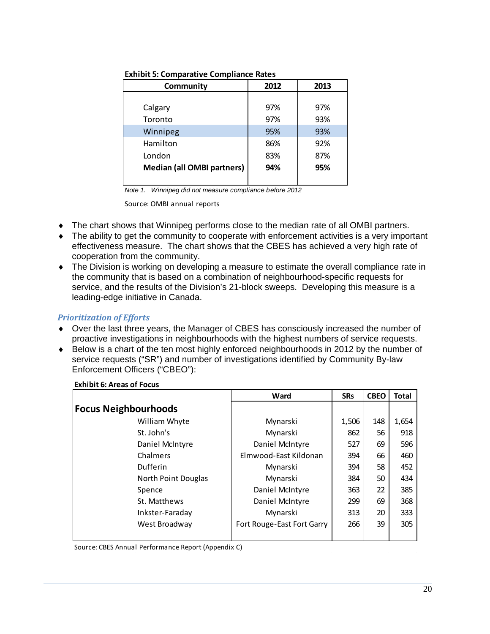| Community                         | 2012 | 2013 |
|-----------------------------------|------|------|
|                                   |      |      |
| Calgary                           | 97%  | 97%  |
| Toronto                           | 97%  | 93%  |
| Winnipeg                          | 95%  | 93%  |
| Hamilton                          | 86%  | 92%  |
| London                            | 83%  | 87%  |
| <b>Median (all OMBI partners)</b> | 94%  | 95%  |
|                                   |      |      |

**Exhibit 5: Comparative Compliance Rates**

*Note 1. Winnipeg did not measure compliance before 2012*

Source: OMBI annual reports

- The chart shows that Winnipeg performs close to the median rate of all OMBI partners.
- The ability to get the community to cooperate with enforcement activities is a very important effectiveness measure. The chart shows that the CBES has achieved a very high rate of cooperation from the community.
- The Division is working on developing a measure to estimate the overall compliance rate in the community that is based on a combination of neighbourhood-specific requests for service, and the results of the Division's 21-block sweeps. Developing this measure is a leading-edge initiative in Canada.

#### *Prioritization of Efforts*

- Over the last three years, the Manager of CBES has consciously increased the number of proactive investigations in neighbourhoods with the highest numbers of service requests.
- Below is a chart of the ten most highly enforced neighbourhoods in 2012 by the number of service requests ("SR") and number of investigations identified by Community By-law Enforcement Officers ("CBEO"):

|                             | Ward                       | <b>SRs</b> | <b>CBEO</b> | <b>Total</b> |
|-----------------------------|----------------------------|------------|-------------|--------------|
| <b>Focus Neighbourhoods</b> |                            |            |             |              |
| William Whyte               | Mynarski                   | 1,506      | 148         | 1,654        |
| St. John's                  | Mynarski                   | 862        | 56          | 918          |
| Daniel McIntyre             | Daniel McIntyre            | 527        | 69          | 596          |
| Chalmers                    | Elmwood-East Kildonan      | 394        | 66          | 460          |
| Dufferin                    | Mynarski                   | 394        | 58          | 452          |
| North Point Douglas         | Mynarski                   | 384        | 50          | 434          |
| Spence                      | Daniel McIntyre            | 363        | 22          | 385          |
| St. Matthews                | Daniel McIntyre            | 299        | 69          | 368          |
| Inkster-Faraday             | Mynarski                   | 313        | 20          | 333          |
| West Broadway               | Fort Rouge-East Fort Garry | 266        | 39          | 305          |

#### **Exhibit 6: Areas of Focus**

Source: CBES Annual Performance Report (Appendix C)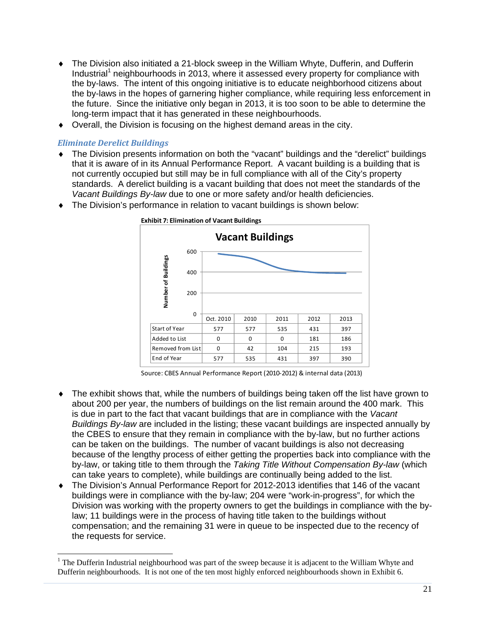- The Division also initiated a 21-block sweep in the William Whyte, Dufferin, and Dufferin Industrial<sup>1</sup> neighbourhoods in 2013, where it assessed every property for compliance with the by-laws. The intent of this ongoing initiative is to educate neighborhood citizens about the by-laws in the hopes of garnering higher compliance, while requiring less enforcement in the future. Since the initiative only began in 2013, it is too soon to be able to determine the long-term impact that it has generated in these neighbourhoods.
- Overall, the Division is focusing on the highest demand areas in the city.

#### *Eliminate Derelict Buildings*

-

- The Division presents information on both the "vacant" buildings and the "derelict" buildings that it is aware of in its Annual Performance Report. A vacant building is a building that is not currently occupied but still may be in full compliance with all of the City's property standards. A derelict building is a vacant building that does not meet the standards of the *Vacant Buildings By-law* due to one or more safety and/or health deficiencies.
- The Division's performance in relation to vacant buildings is shown below:



Source: CBES Annual Performance Report (2010‐2012) & internal data (2013)

- The exhibit shows that, while the numbers of buildings being taken off the list have grown to about 200 per year, the numbers of buildings on the list remain around the 400 mark. This is due in part to the fact that vacant buildings that are in compliance with the *Vacant Buildings By-law* are included in the listing; these vacant buildings are inspected annually by the CBES to ensure that they remain in compliance with the by-law, but no further actions can be taken on the buildings. The number of vacant buildings is also not decreasing because of the lengthy process of either getting the properties back into compliance with the by-law, or taking title to them through the *Taking Title Without Compensation By-law* (which can take years to complete), while buildings are continually being added to the list.
- The Division's Annual Performance Report for 2012-2013 identifies that 146 of the vacant buildings were in compliance with the by-law; 204 were "work-in-progress", for which the Division was working with the property owners to get the buildings in compliance with the bylaw; 11 buildings were in the process of having title taken to the buildings without compensation; and the remaining 31 were in queue to be inspected due to the recency of the requests for service.

<sup>&</sup>lt;sup>1</sup> The Dufferin Industrial neighbourhood was part of the sweep because it is adjacent to the William Whyte and Dufferin neighbourhoods. It is not one of the ten most highly enforced neighbourhoods shown in Exhibit 6.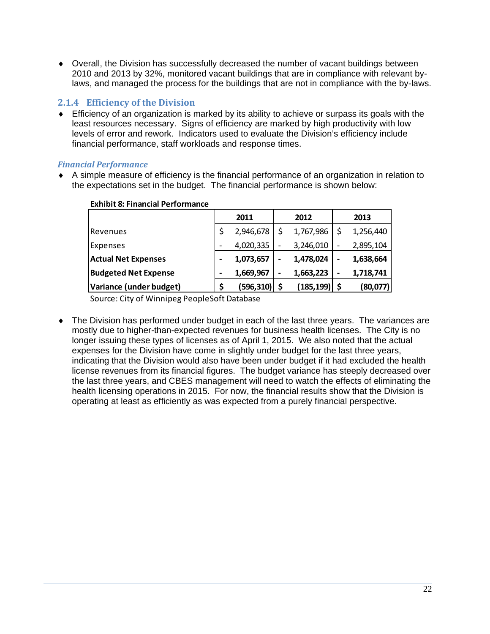Overall, the Division has successfully decreased the number of vacant buildings between 2010 and 2013 by 32%, monitored vacant buildings that are in compliance with relevant bylaws, and managed the process for the buildings that are not in compliance with the by-laws.

#### **2.1.4 Efficiency of the Division**

 Efficiency of an organization is marked by its ability to achieve or surpass its goals with the least resources necessary. Signs of efficiency are marked by high productivity with low levels of error and rework. Indicators used to evaluate the Division's efficiency include financial performance, staff workloads and response times.

#### *Financial Performance*

 A simple measure of efficiency is the financial performance of an organization in relation to the expectations set in the budget. The financial performance is shown below:

|                             |    | 2011            | 2012            |   | 2013      |
|-----------------------------|----|-----------------|-----------------|---|-----------|
| Revenues                    | \$ | 2,946,678       | 1,767,986       |   | 1,256,440 |
| Expenses                    |    | 4,020,335       | 3,246,010       |   | 2,895,104 |
| <b>Actual Net Expenses</b>  |    | 1,073,657       | 1,478,024       |   | 1,638,664 |
| <b>Budgeted Net Expense</b> | -  | 1,669,967       | 1,663,223       | - | 1,718,741 |
| Variance (under budget)     | \$ | $(596, 310)$ \$ | $(185, 199)$ \$ |   | (80,077)  |

#### **Exhibit 8: Financial Performance**

Source: City of Winnipeg PeopleSoft Database

 The Division has performed under budget in each of the last three years. The variances are mostly due to higher-than-expected revenues for business health licenses. The City is no longer issuing these types of licenses as of April 1, 2015. We also noted that the actual expenses for the Division have come in slightly under budget for the last three years, indicating that the Division would also have been under budget if it had excluded the health license revenues from its financial figures. The budget variance has steeply decreased over the last three years, and CBES management will need to watch the effects of eliminating the health licensing operations in 2015. For now, the financial results show that the Division is operating at least as efficiently as was expected from a purely financial perspective.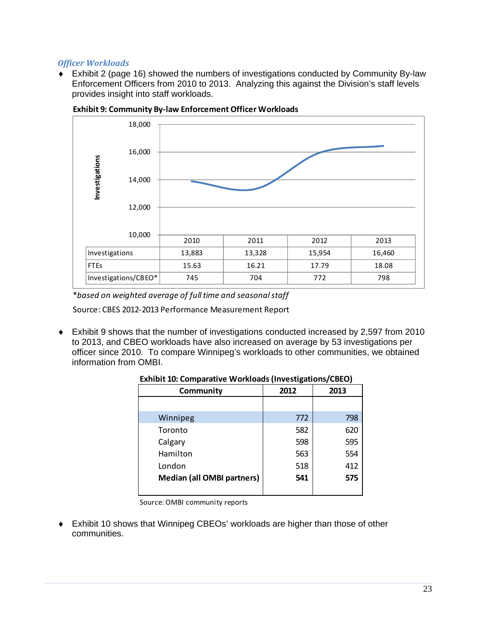#### *Officer Workloads*

 Exhibit 2 (page 16) showed the numbers of investigations conducted by Community By-law Enforcement Officers from 2010 to 2013. Analyzing this against the Division's staff levels provides insight into staff workloads.



**Exhibit 9: Community By‐law Enforcement Officer Workloads**

\**based on weighted average of full time and seasonalstaff*

Source: CBES 2012‐2013 Performance Measurement Report

 Exhibit 9 shows that the number of investigations conducted increased by 2,597 from 2010 to 2013, and CBEO workloads have also increased on average by 53 investigations per officer since 2010. To compare Winnipeg's workloads to other communities, we obtained information from OMBI.

| Community                         | 2012 | 2013 |
|-----------------------------------|------|------|
|                                   |      |      |
| Winnipeg                          | 772  | 798  |
| Toronto                           | 582  | 620  |
| Calgary                           | 598  | 595  |
| Hamilton                          | 563  | 554  |
| London                            | 518  | 412  |
| <b>Median (all OMBI partners)</b> | 541  | 575  |
|                                   |      |      |

**Exhibit 10: Comparative Workloads (Investigations/CBEO)**

Source: OMBI community reports

 Exhibit 10 shows that Winnipeg CBEOs' workloads are higher than those of other communities.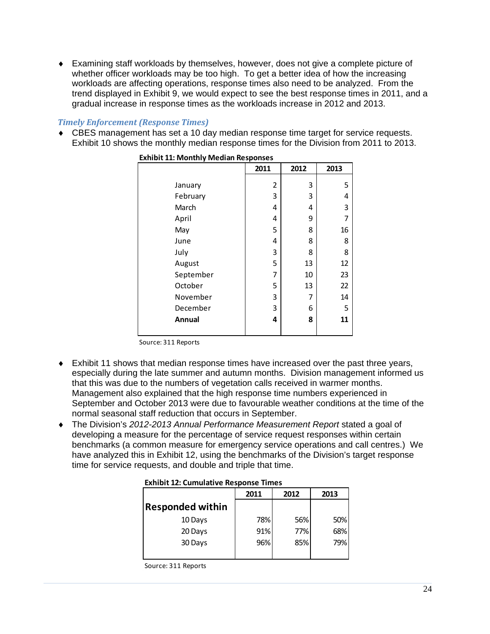Examining staff workloads by themselves, however, does not give a complete picture of whether officer workloads may be too high. To get a better idea of how the increasing workloads are affecting operations, response times also need to be analyzed. From the trend displayed in Exhibit 9, we would expect to see the best response times in 2011, and a gradual increase in response times as the workloads increase in 2012 and 2013.

#### *Timely Enforcement (Response Times)*

 CBES management has set a 10 day median response time target for service requests. Exhibit 10 shows the monthly median response times for the Division from 2011 to 2013.

|           | THE TE. INDITION INCORT RESPONSES |      |      |  |  |
|-----------|-----------------------------------|------|------|--|--|
|           | 2011                              | 2012 | 2013 |  |  |
|           |                                   |      |      |  |  |
| January   | 2                                 | 3    | 5    |  |  |
| February  | 3                                 | 3    | 4    |  |  |
| March     | 4                                 | 4    | 3    |  |  |
| April     | 4                                 | 9    | 7    |  |  |
| May       | 5                                 | 8    | 16   |  |  |
| June      | 4                                 | 8    | 8    |  |  |
| July      | 3                                 | 8    | 8    |  |  |
| August    | 5                                 | 13   | 12   |  |  |
| September | 7                                 | 10   | 23   |  |  |
| October   | 5                                 | 13   | 22   |  |  |
| November  | 3                                 | 7    | 14   |  |  |
| December  | 3                                 | 6    | 5    |  |  |
| Annual    | 4                                 | 8    | 11   |  |  |
|           |                                   |      |      |  |  |

**Exhibit 11: Monthly Median Responses**

Source: 311 Reports

- Exhibit 11 shows that median response times have increased over the past three years, especially during the late summer and autumn months. Division management informed us that this was due to the numbers of vegetation calls received in warmer months. Management also explained that the high response time numbers experienced in September and October 2013 were due to favourable weather conditions at the time of the normal seasonal staff reduction that occurs in September.
- The Division's *2012-2013 Annual Performance Measurement Report* stated a goal of developing a measure for the percentage of service request responses within certain benchmarks (a common measure for emergency service operations and call centres.) We have analyzed this in Exhibit 12, using the benchmarks of the Division's target response time for service requests, and double and triple that time.

#### **Exhibit 12: Cumulative Response Times**

|                         | 2011 | 2012 | 2013 |
|-------------------------|------|------|------|
| <b>Responded within</b> |      |      |      |
| 10 Days                 | 78%  | 56%  | 50%  |
| 20 Days                 | 91%  | 77%  | 68%  |
| 30 Days                 | 96%  | 85%  | 79%  |
|                         |      |      |      |

Source: 311 Reports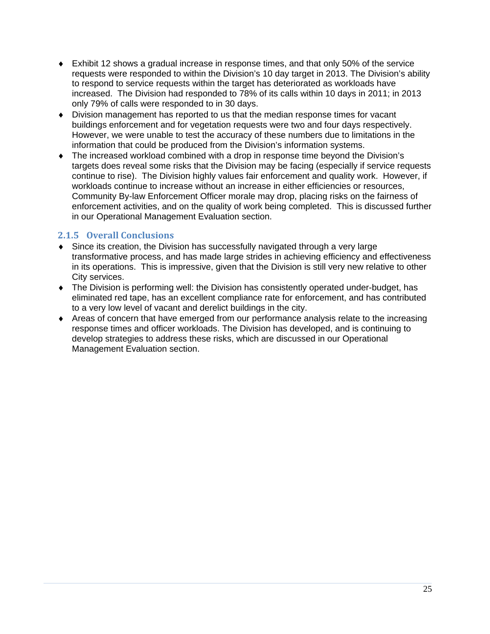- Exhibit 12 shows a gradual increase in response times, and that only 50% of the service requests were responded to within the Division's 10 day target in 2013. The Division's ability to respond to service requests within the target has deteriorated as workloads have increased. The Division had responded to 78% of its calls within 10 days in 2011; in 2013 only 79% of calls were responded to in 30 days.
- Division management has reported to us that the median response times for vacant buildings enforcement and for vegetation requests were two and four days respectively. However, we were unable to test the accuracy of these numbers due to limitations in the information that could be produced from the Division's information systems.
- The increased workload combined with a drop in response time beyond the Division's targets does reveal some risks that the Division may be facing (especially if service requests continue to rise). The Division highly values fair enforcement and quality work. However, if workloads continue to increase without an increase in either efficiencies or resources, Community By-law Enforcement Officer morale may drop, placing risks on the fairness of enforcement activities, and on the quality of work being completed. This is discussed further in our Operational Management Evaluation section.

#### **2.1.5 Overall Conclusions**

- Since its creation, the Division has successfully navigated through a very large transformative process, and has made large strides in achieving efficiency and effectiveness in its operations. This is impressive, given that the Division is still very new relative to other City services.
- The Division is performing well: the Division has consistently operated under-budget, has eliminated red tape, has an excellent compliance rate for enforcement, and has contributed to a very low level of vacant and derelict buildings in the city.
- Areas of concern that have emerged from our performance analysis relate to the increasing response times and officer workloads. The Division has developed, and is continuing to develop strategies to address these risks, which are discussed in our Operational Management Evaluation section.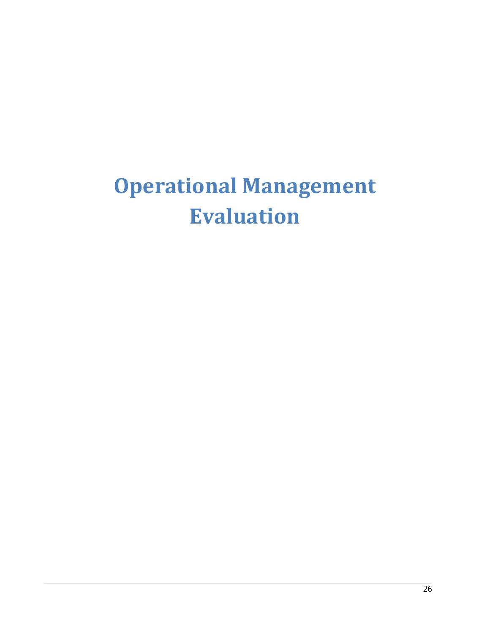# **Operational Management Evaluation**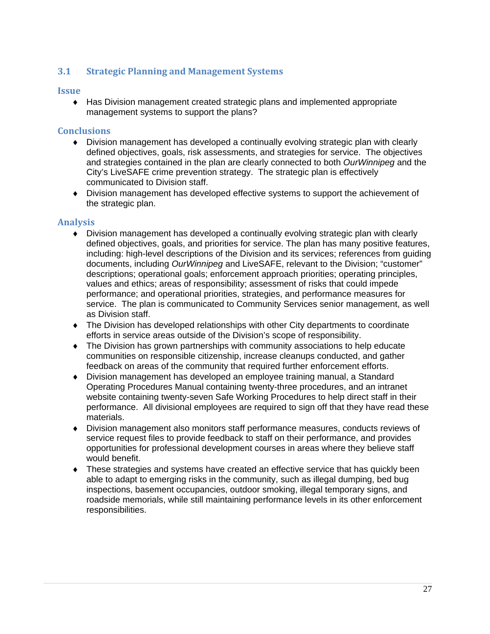#### **3.1 Strategic Planning and Management Systems**

#### **Issue**

 Has Division management created strategic plans and implemented appropriate management systems to support the plans?

#### **Conclusions**

- Division management has developed a continually evolving strategic plan with clearly defined objectives, goals, risk assessments, and strategies for service. The objectives and strategies contained in the plan are clearly connected to both *OurWinnipeg* and the City's LiveSAFE crime prevention strategy. The strategic plan is effectively communicated to Division staff.
- Division management has developed effective systems to support the achievement of the strategic plan.

#### **Analysis**

- Division management has developed a continually evolving strategic plan with clearly defined objectives, goals, and priorities for service. The plan has many positive features, including: high-level descriptions of the Division and its services; references from guiding documents, including *OurWinnipeg* and LiveSAFE, relevant to the Division; "customer" descriptions; operational goals; enforcement approach priorities; operating principles, values and ethics; areas of responsibility; assessment of risks that could impede performance; and operational priorities, strategies, and performance measures for service. The plan is communicated to Community Services senior management, as well as Division staff.
- The Division has developed relationships with other City departments to coordinate efforts in service areas outside of the Division's scope of responsibility.
- The Division has grown partnerships with community associations to help educate communities on responsible citizenship, increase cleanups conducted, and gather feedback on areas of the community that required further enforcement efforts.
- Division management has developed an employee training manual, a Standard Operating Procedures Manual containing twenty-three procedures, and an intranet website containing twenty-seven Safe Working Procedures to help direct staff in their performance. All divisional employees are required to sign off that they have read these materials.
- Division management also monitors staff performance measures, conducts reviews of service request files to provide feedback to staff on their performance, and provides opportunities for professional development courses in areas where they believe staff would benefit.
- These strategies and systems have created an effective service that has quickly been able to adapt to emerging risks in the community, such as illegal dumping, bed bug inspections, basement occupancies, outdoor smoking, illegal temporary signs, and roadside memorials, while still maintaining performance levels in its other enforcement responsibilities.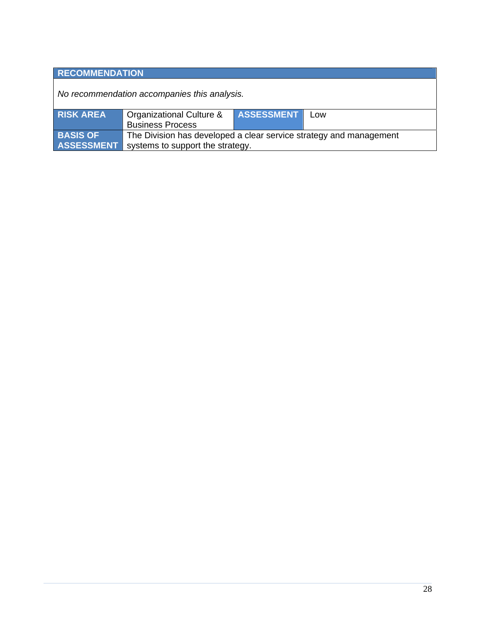### **RECOMMENDATION**

*No recommendation accompanies this analysis.* 

| <b>RISK AREA</b>  | Organizational Culture &                                           | <b>ASSESSMENT</b> | Low |  |
|-------------------|--------------------------------------------------------------------|-------------------|-----|--|
|                   | <b>Business Process</b>                                            |                   |     |  |
| <b>BASIS OF</b>   | The Division has developed a clear service strategy and management |                   |     |  |
| <b>ASSESSMENT</b> | systems to support the strategy.                                   |                   |     |  |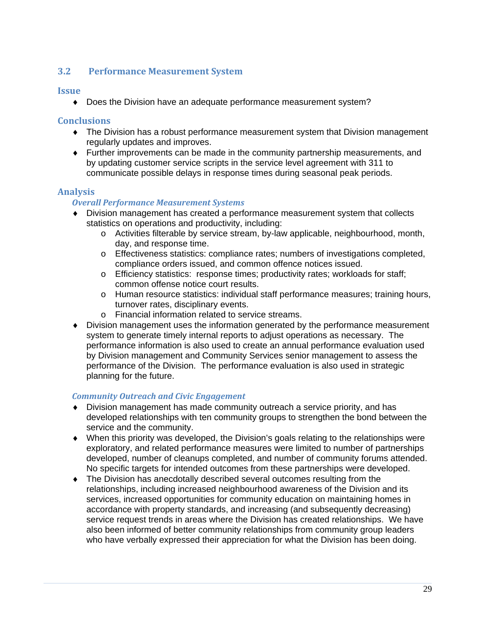#### **3.2 Performance Measurement System**

#### **Issue**

Does the Division have an adequate performance measurement system?

#### **Conclusions**

- The Division has a robust performance measurement system that Division management regularly updates and improves.
- Further improvements can be made in the community partnership measurements, and by updating customer service scripts in the service level agreement with 311 to communicate possible delays in response times during seasonal peak periods.

#### **Analysis**

#### *Overall Performance Measurement Systems*

- Division management has created a performance measurement system that collects statistics on operations and productivity, including:
	- o Activities filterable by service stream, by-law applicable, neighbourhood, month, day, and response time.
	- o Effectiveness statistics: compliance rates; numbers of investigations completed, compliance orders issued, and common offence notices issued.
	- o Efficiency statistics: response times; productivity rates; workloads for staff; common offense notice court results.
	- o Human resource statistics: individual staff performance measures; training hours, turnover rates, disciplinary events.
	- o Financial information related to service streams.
- Division management uses the information generated by the performance measurement system to generate timely internal reports to adjust operations as necessary. The performance information is also used to create an annual performance evaluation used by Division management and Community Services senior management to assess the performance of the Division. The performance evaluation is also used in strategic planning for the future.

#### *Community Outreach and Civic Engagement*

- Division management has made community outreach a service priority, and has developed relationships with ten community groups to strengthen the bond between the service and the community.
- When this priority was developed, the Division's goals relating to the relationships were exploratory, and related performance measures were limited to number of partnerships developed, number of cleanups completed, and number of community forums attended. No specific targets for intended outcomes from these partnerships were developed.
- The Division has anecdotally described several outcomes resulting from the relationships, including increased neighbourhood awareness of the Division and its services, increased opportunities for community education on maintaining homes in accordance with property standards, and increasing (and subsequently decreasing) service request trends in areas where the Division has created relationships. We have also been informed of better community relationships from community group leaders who have verbally expressed their appreciation for what the Division has been doing.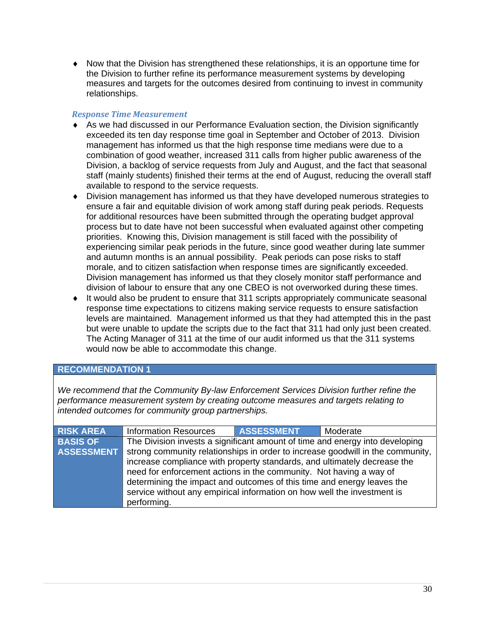$\bullet$  Now that the Division has strengthened these relationships, it is an opportune time for the Division to further refine its performance measurement systems by developing measures and targets for the outcomes desired from continuing to invest in community relationships.

#### *Response Time Measurement*

- As we had discussed in our Performance Evaluation section, the Division significantly exceeded its ten day response time goal in September and October of 2013. Division management has informed us that the high response time medians were due to a combination of good weather, increased 311 calls from higher public awareness of the Division, a backlog of service requests from July and August, and the fact that seasonal staff (mainly students) finished their terms at the end of August, reducing the overall staff available to respond to the service requests.
- Division management has informed us that they have developed numerous strategies to ensure a fair and equitable division of work among staff during peak periods. Requests for additional resources have been submitted through the operating budget approval process but to date have not been successful when evaluated against other competing priorities. Knowing this, Division management is still faced with the possibility of experiencing similar peak periods in the future, since good weather during late summer and autumn months is an annual possibility. Peak periods can pose risks to staff morale, and to citizen satisfaction when response times are significantly exceeded. Division management has informed us that they closely monitor staff performance and division of labour to ensure that any one CBEO is not overworked during these times.
- $\bullet$  It would also be prudent to ensure that 311 scripts appropriately communicate seasonal response time expectations to citizens making service requests to ensure satisfaction levels are maintained. Management informed us that they had attempted this in the past but were unable to update the scripts due to the fact that 311 had only just been created. The Acting Manager of 311 at the time of our audit informed us that the 311 systems would now be able to accommodate this change.

#### **RECOMMENDATION 1**

*We recommend that the Community By-law Enforcement Services Division further refine the performance measurement system by creating outcome measures and targets relating to intended outcomes for community group partnerships.* 

| <b>RISK AREA</b>  | <b>Information Resources</b>                                                 | <b>ASSESSMENT</b> | Moderate                                                                       |
|-------------------|------------------------------------------------------------------------------|-------------------|--------------------------------------------------------------------------------|
| <b>BASIS OF</b>   | The Division invests a significant amount of time and energy into developing |                   |                                                                                |
| <b>ASSESSMENT</b> |                                                                              |                   | strong community relationships in order to increase goodwill in the community, |
|                   | increase compliance with property standards, and ultimately decrease the     |                   |                                                                                |
|                   | need for enforcement actions in the community. Not having a way of           |                   |                                                                                |
|                   | determining the impact and outcomes of this time and energy leaves the       |                   |                                                                                |
|                   | service without any empirical information on how well the investment is      |                   |                                                                                |
|                   | performing.                                                                  |                   |                                                                                |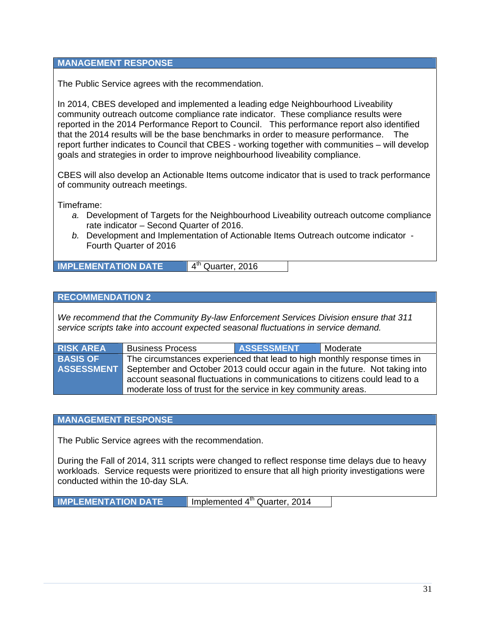#### **MANAGEMENT RESPONSE**

The Public Service agrees with the recommendation.

In 2014, CBES developed and implemented a leading edge Neighbourhood Liveability community outreach outcome compliance rate indicator. These compliance results were reported in the 2014 Performance Report to Council. This performance report also identified that the 2014 results will be the base benchmarks in order to measure performance. The report further indicates to Council that CBES - working together with communities – will develop goals and strategies in order to improve neighbourhood liveability compliance.

CBES will also develop an Actionable Items outcome indicator that is used to track performance of community outreach meetings.

Timeframe:

- *a.* Development of Targets for the Neighbourhood Liveability outreach outcome compliance rate indicator – Second Quarter of 2016.
- *b.* Development and Implementation of Actionable Items Outreach outcome indicator Fourth Quarter of 2016

**IMPLEMENTATION DATE** 4<sup>th</sup> Quarter, 2016

#### **RECOMMENDATION 2**

*We recommend that the Community By-law Enforcement Services Division ensure that 311 service scripts take into account expected seasonal fluctuations in service demand.* 

| <b>RISK AREA</b>  | <b>Business Process</b>                                                     | <b>ASSESSMENT</b> | l Moderate |
|-------------------|-----------------------------------------------------------------------------|-------------------|------------|
| <b>BASIS OF</b>   | The circumstances experienced that lead to high monthly response times in   |                   |            |
| <b>ASSESSMENT</b> | September and October 2013 could occur again in the future. Not taking into |                   |            |
|                   | account seasonal fluctuations in communications to citizens could lead to a |                   |            |
|                   | moderate loss of trust for the service in key community areas.              |                   |            |

#### **MANAGEMENT RESPONSE**

The Public Service agrees with the recommendation.

During the Fall of 2014, 311 scripts were changed to reflect response time delays due to heavy workloads. Service requests were prioritized to ensure that all high priority investigations were conducted within the 10-day SLA.

**IMPLEMENTATION DATE Implemented 4<sup>th</sup> Quarter, 2014**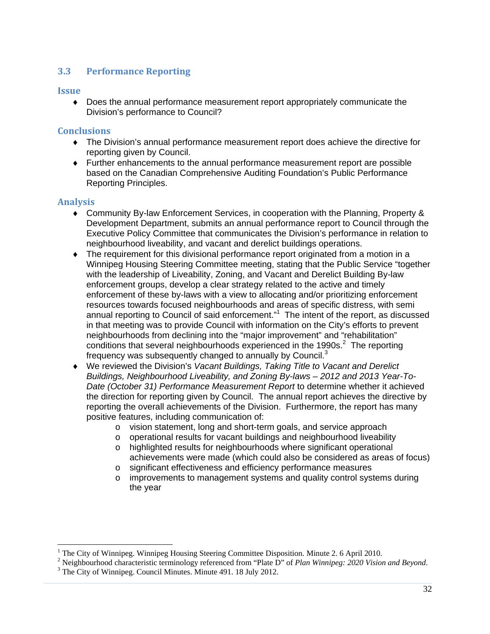#### **3.3 Performance Reporting**

#### **Issue**

 Does the annual performance measurement report appropriately communicate the Division's performance to Council?

#### **Conclusions**

- The Division's annual performance measurement report does achieve the directive for reporting given by Council.
- Further enhancements to the annual performance measurement report are possible based on the Canadian Comprehensive Auditing Foundation's Public Performance Reporting Principles.

#### **Analysis**

- Community By-law Enforcement Services, in cooperation with the Planning, Property & Development Department, submits an annual performance report to Council through the Executive Policy Committee that communicates the Division's performance in relation to neighbourhood liveability, and vacant and derelict buildings operations.
- The requirement for this divisional performance report originated from a motion in a Winnipeg Housing Steering Committee meeting, stating that the Public Service "together with the leadership of Liveability, Zoning, and Vacant and Derelict Building By-law enforcement groups, develop a clear strategy related to the active and timely enforcement of these by-laws with a view to allocating and/or prioritizing enforcement resources towards focused neighbourhoods and areas of specific distress, with semi annual reporting to Council of said enforcement."<sup>1</sup> The intent of the report, as discussed in that meeting was to provide Council with information on the City's efforts to prevent neighbourhoods from declining into the "major improvement" and "rehabilitation" conditions that several neighbourhoods experienced in the 1990s. $2$  The reporting frequency was subsequently changed to annually by Council. $3$
- We reviewed the Division's *Vacant Buildings, Taking Title to Vacant and Derelict Buildings, Neighbourhood Liveability, and Zoning By-laws – 2012 and 2013 Year-To-Date (October 31) Performance Measurement Report* to determine whether it achieved the direction for reporting given by Council. The annual report achieves the directive by reporting the overall achievements of the Division. Furthermore, the report has many positive features, including communication of:
	- o vision statement, long and short-term goals, and service approach
	- o operational results for vacant buildings and neighbourhood liveability
	- o highlighted results for neighbourhoods where significant operational achievements were made (which could also be considered as areas of focus)
	- o significant effectiveness and efficiency performance measures
	- o improvements to management systems and quality control systems during the year

<sup>&</sup>lt;sup>1</sup> The City of Winnipeg. Winnipeg Housing Steering Committee Disposition. Minute 2. 6 April 2010.

<sup>&</sup>lt;sup>2</sup> Neighbourhood characteristic terminology referenced from "Plate D" of *Plan Winnipeg: 2020 Vision and Beyond.*  $3 \text{ The City of Winning } G$  Cauncil Minutes, Minute 401, 18 July 2012

<sup>&</sup>lt;sup>3</sup> The City of Winnipeg. Council Minutes. Minute 491. 18 July 2012.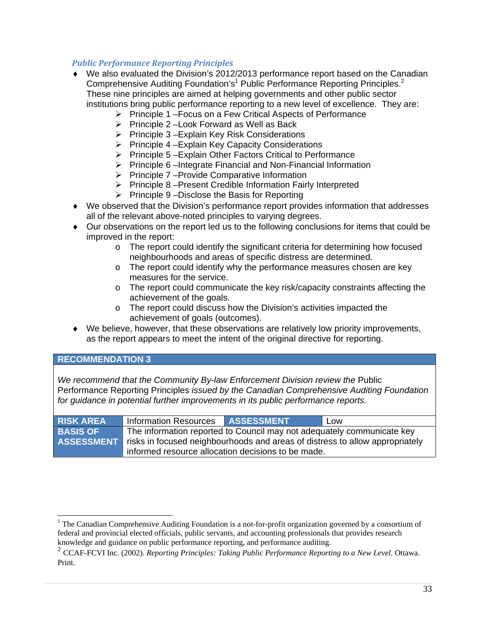#### *Public Performance Reporting Principles*

- We also evaluated the Division's 2012/2013 performance report based on the Canadian Comprehensive Auditing Foundation's<sup>1</sup> Public Performance Reporting Principles.<sup>2</sup> These nine principles are aimed at helping governments and other public sector institutions bring public performance reporting to a new level of excellence. They are:
	- $\triangleright$  Principle 1 Focus on a Few Critical Aspects of Performance
	- $\triangleright$  Principle 2 Look Forward as Well as Back
	- $\triangleright$  Principle 3 Explain Key Risk Considerations
	- $\triangleright$  Principle 4 Explain Key Capacity Considerations
	- $\triangleright$  Principle 5 Explain Other Factors Critical to Performance
	- $\triangleright$  Principle 6 –Integrate Financial and Non-Financial Information
	- $\triangleright$  Principle 7 Provide Comparative Information
	- $\triangleright$  Principle 8 Present Credible Information Fairly Interpreted
	- $\triangleright$  Principle 9 Disclose the Basis for Reporting
- We observed that the Division's performance report provides information that addresses all of the relevant above-noted principles to varying degrees.
- Our observations on the report led us to the following conclusions for items that could be improved in the report:
	- $\circ$  The report could identify the significant criteria for determining how focused neighbourhoods and areas of specific distress are determined.
	- o The report could identify why the performance measures chosen are key measures for the service.
	- o The report could communicate the key risk/capacity constraints affecting the achievement of the goals.
	- o The report could discuss how the Division's activities impacted the achievement of goals (outcomes).
- We believe, however, that these observations are relatively low priority improvements, as the report appears to meet the intent of the original directive for reporting.

#### **RECOMMENDATION 3**

*We recommend that the Community By-law Enforcement Division review the Public* Performance Reporting Principles *issued by the Canadian Comprehensive Auditing Foundation for guidance in potential further improvements in its public performance reports.* 

| <b>RISK AREA</b> | <b>Information Resources</b>                                                            | <b>ASSESSMENT</b> | Low |  |  |
|------------------|-----------------------------------------------------------------------------------------|-------------------|-----|--|--|
| <b>BASIS OF</b>  | The information reported to Council may not adequately communicate key                  |                   |     |  |  |
|                  | ASSESSMENT risks in focused neighbourhoods and areas of distress to allow appropriately |                   |     |  |  |
|                  | informed resource allocation decisions to be made.                                      |                   |     |  |  |

<sup>&</sup>lt;sup>1</sup> The Canadian Comprehensive Auditing Foundation is a not-for-profit organization governed by a consortium of federal and provincial elected officials, public servants, and accounting professionals that provides research knowledge and guidance on public performance reporting, and performance auditing.

<sup>2</sup> CCAF-FCVI Inc. (2002). *Reporting Principles: Taking Public Performance Reporting to a New Level*. Ottawa. Print.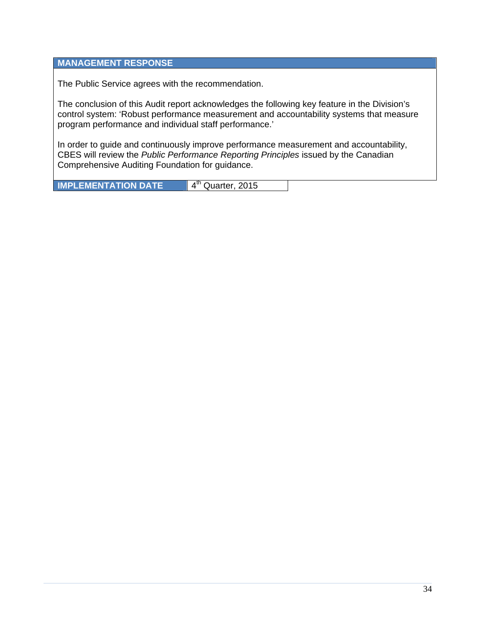#### **MANAGEMENT RESPONSE**

The Public Service agrees with the recommendation.

The conclusion of this Audit report acknowledges the following key feature in the Division's control system: 'Robust performance measurement and accountability systems that measure program performance and individual staff performance.'

In order to guide and continuously improve performance measurement and accountability, CBES will review the *Public Performance Reporting Principles* issued by the Canadian Comprehensive Auditing Foundation for guidance.

**IMPLEMENTATION DATE** 4<sup>th</sup> Quarter, 2015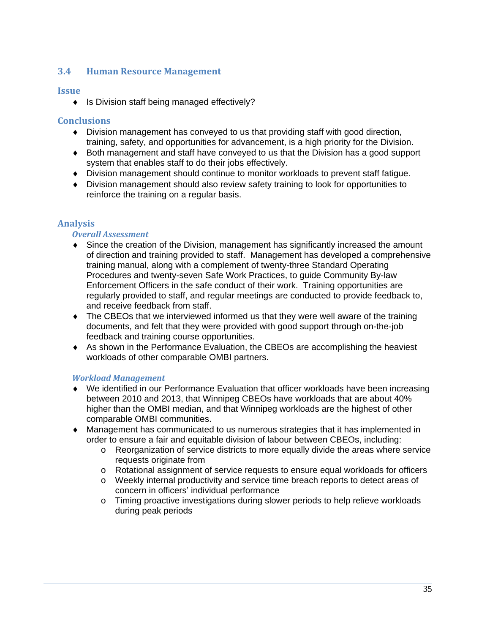#### **3.4 Human Resource Management**

#### **Issue**

◆ Is Division staff being managed effectively?

#### **Conclusions**

- Division management has conveyed to us that providing staff with good direction, training, safety, and opportunities for advancement, is a high priority for the Division.
- Both management and staff have conveyed to us that the Division has a good support system that enables staff to do their jobs effectively.
- Division management should continue to monitor workloads to prevent staff fatigue.
- Division management should also review safety training to look for opportunities to reinforce the training on a regular basis.

#### **Analysis**

#### *Overall Assessment*

- Since the creation of the Division, management has significantly increased the amount of direction and training provided to staff. Management has developed a comprehensive training manual, along with a complement of twenty-three Standard Operating Procedures and twenty-seven Safe Work Practices, to guide Community By-law Enforcement Officers in the safe conduct of their work. Training opportunities are regularly provided to staff, and regular meetings are conducted to provide feedback to, and receive feedback from staff.
- The CBEOs that we interviewed informed us that they were well aware of the training documents, and felt that they were provided with good support through on-the-job feedback and training course opportunities.
- As shown in the Performance Evaluation, the CBEOs are accomplishing the heaviest workloads of other comparable OMBI partners.

#### *Workload Management*

- We identified in our Performance Evaluation that officer workloads have been increasing between 2010 and 2013, that Winnipeg CBEOs have workloads that are about 40% higher than the OMBI median, and that Winnipeg workloads are the highest of other comparable OMBI communities.
- Management has communicated to us numerous strategies that it has implemented in order to ensure a fair and equitable division of labour between CBEOs, including:
	- o Reorganization of service districts to more equally divide the areas where service requests originate from
	- o Rotational assignment of service requests to ensure equal workloads for officers
	- o Weekly internal productivity and service time breach reports to detect areas of concern in officers' individual performance
	- o Timing proactive investigations during slower periods to help relieve workloads during peak periods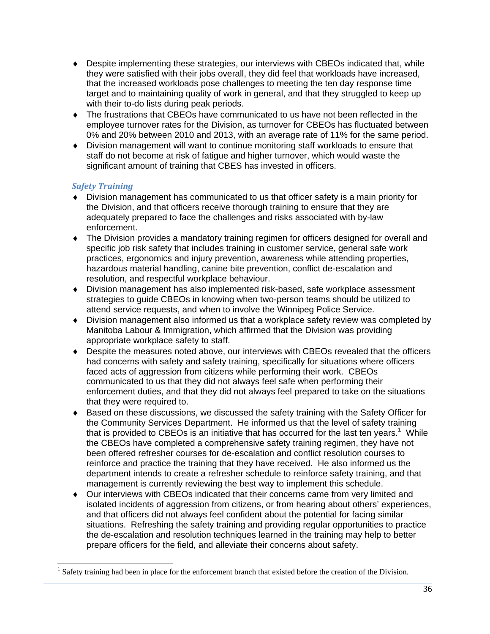- Despite implementing these strategies, our interviews with CBEOs indicated that, while they were satisfied with their jobs overall, they did feel that workloads have increased, that the increased workloads pose challenges to meeting the ten day response time target and to maintaining quality of work in general, and that they struggled to keep up with their to-do lists during peak periods.
- The frustrations that CBEOs have communicated to us have not been reflected in the employee turnover rates for the Division, as turnover for CBEOs has fluctuated between 0% and 20% between 2010 and 2013, with an average rate of 11% for the same period.
- Division management will want to continue monitoring staff workloads to ensure that staff do not become at risk of fatigue and higher turnover, which would waste the significant amount of training that CBES has invested in officers.

#### *Safety Training*

- Division management has communicated to us that officer safety is a main priority for the Division, and that officers receive thorough training to ensure that they are adequately prepared to face the challenges and risks associated with by-law enforcement.
- The Division provides a mandatory training regimen for officers designed for overall and specific job risk safety that includes training in customer service, general safe work practices, ergonomics and injury prevention, awareness while attending properties, hazardous material handling, canine bite prevention, conflict de-escalation and resolution, and respectful workplace behaviour.
- Division management has also implemented risk-based, safe workplace assessment strategies to guide CBEOs in knowing when two-person teams should be utilized to attend service requests, and when to involve the Winnipeg Police Service.
- Division management also informed us that a workplace safety review was completed by Manitoba Labour & Immigration, which affirmed that the Division was providing appropriate workplace safety to staff.
- Despite the measures noted above, our interviews with CBEOs revealed that the officers had concerns with safety and safety training, specifically for situations where officers faced acts of aggression from citizens while performing their work. CBEOs communicated to us that they did not always feel safe when performing their enforcement duties, and that they did not always feel prepared to take on the situations that they were required to.
- Based on these discussions, we discussed the safety training with the Safety Officer for the Community Services Department. He informed us that the level of safety training that is provided to CBEOs is an initiative that has occurred for the last ten years.<sup>1</sup> While the CBEOs have completed a comprehensive safety training regimen, they have not been offered refresher courses for de-escalation and conflict resolution courses to reinforce and practice the training that they have received. He also informed us the department intends to create a refresher schedule to reinforce safety training, and that management is currently reviewing the best way to implement this schedule.
- Our interviews with CBEOs indicated that their concerns came from very limited and isolated incidents of aggression from citizens, or from hearing about others' experiences, and that officers did not always feel confident about the potential for facing similar situations. Refreshing the safety training and providing regular opportunities to practice the de-escalation and resolution techniques learned in the training may help to better prepare officers for the field, and alleviate their concerns about safety.

<sup>&</sup>lt;sup>1</sup> Safety training had been in place for the enforcement branch that existed before the creation of the Division.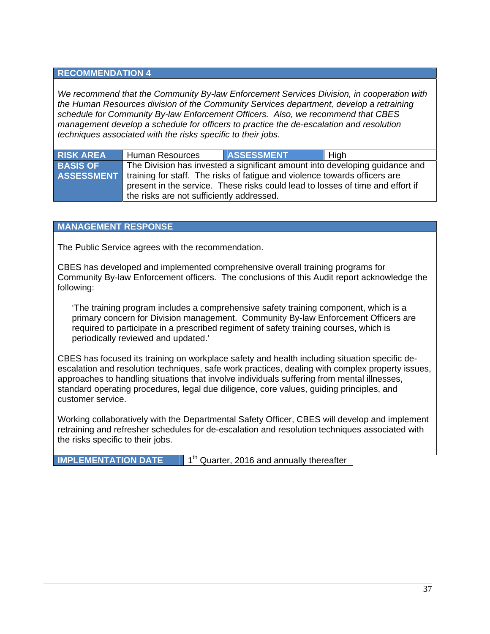#### **RECOMMENDATION 4**

*We recommend that the Community By-law Enforcement Services Division, in cooperation with the Human Resources division of the Community Services department, develop a retraining schedule for Community By-law Enforcement Officers. Also, we recommend that CBES management develop a schedule for officers to practice the de-escalation and resolution techniques associated with the risks specific to their jobs.* 

| <b>RISK AREA</b> | <b>Human Resources</b>                    | <b>ASSESSMENT</b>                                                                            | High                                                                        |
|------------------|-------------------------------------------|----------------------------------------------------------------------------------------------|-----------------------------------------------------------------------------|
| <b>BASIS OF</b>  |                                           |                                                                                              | The Division has invested a significant amount into developing guidance and |
|                  |                                           | <b>ASSESSMENT</b> training for staff. The risks of fatigue and violence towards officers are |                                                                             |
|                  |                                           | present in the service. These risks could lead to losses of time and effort if               |                                                                             |
|                  | the risks are not sufficiently addressed. |                                                                                              |                                                                             |

#### **MANAGEMENT RESPONSE**

The Public Service agrees with the recommendation.

CBES has developed and implemented comprehensive overall training programs for Community By-law Enforcement officers. The conclusions of this Audit report acknowledge the following:

'The training program includes a comprehensive safety training component, which is a primary concern for Division management. Community By-law Enforcement Officers are required to participate in a prescribed regiment of safety training courses, which is periodically reviewed and updated.'

CBES has focused its training on workplace safety and health including situation specific deescalation and resolution techniques, safe work practices, dealing with complex property issues, approaches to handling situations that involve individuals suffering from mental illnesses, standard operating procedures, legal due diligence, core values, guiding principles, and customer service.

Working collaboratively with the Departmental Safety Officer, CBES will develop and implement retraining and refresher schedules for de-escalation and resolution techniques associated with the risks specific to their jobs.

| <b>IMPLEMENTATION DATE</b> | $1th$ Quarter, 2016 and annually thereafter |
|----------------------------|---------------------------------------------|
|----------------------------|---------------------------------------------|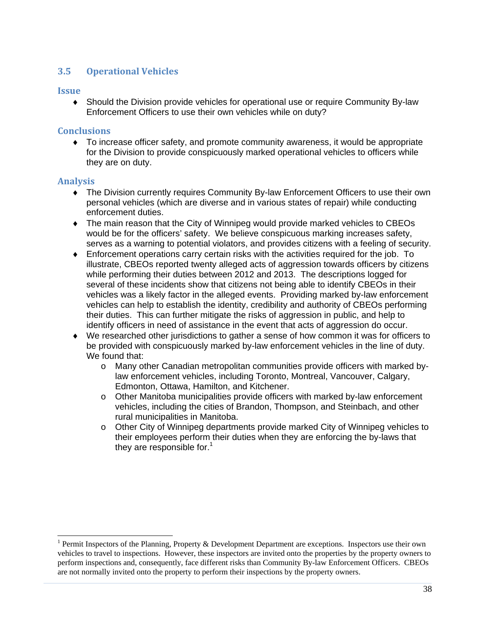#### **3.5 Operational Vehicles**

#### **Issue**

 Should the Division provide vehicles for operational use or require Community By-law Enforcement Officers to use their own vehicles while on duty?

#### **Conclusions**

 To increase officer safety, and promote community awareness, it would be appropriate for the Division to provide conspicuously marked operational vehicles to officers while they are on duty.

#### **Analysis**

- The Division currently requires Community By-law Enforcement Officers to use their own personal vehicles (which are diverse and in various states of repair) while conducting enforcement duties.
- The main reason that the City of Winnipeg would provide marked vehicles to CBEOs would be for the officers' safety. We believe conspicuous marking increases safety, serves as a warning to potential violators, and provides citizens with a feeling of security.
- Enforcement operations carry certain risks with the activities required for the job. To illustrate, CBEOs reported twenty alleged acts of aggression towards officers by citizens while performing their duties between 2012 and 2013. The descriptions logged for several of these incidents show that citizens not being able to identify CBEOs in their vehicles was a likely factor in the alleged events. Providing marked by-law enforcement vehicles can help to establish the identity, credibility and authority of CBEOs performing their duties. This can further mitigate the risks of aggression in public, and help to identify officers in need of assistance in the event that acts of aggression do occur.
- We researched other jurisdictions to gather a sense of how common it was for officers to be provided with conspicuously marked by-law enforcement vehicles in the line of duty. We found that:
	- o Many other Canadian metropolitan communities provide officers with marked bylaw enforcement vehicles, including Toronto, Montreal, Vancouver, Calgary, Edmonton, Ottawa, Hamilton, and Kitchener.
	- o Other Manitoba municipalities provide officers with marked by-law enforcement vehicles, including the cities of Brandon, Thompson, and Steinbach, and other rural municipalities in Manitoba.
	- o Other City of Winnipeg departments provide marked City of Winnipeg vehicles to their employees perform their duties when they are enforcing the by-laws that they are responsible for. $<sup>1</sup>$ </sup>

<sup>&</sup>lt;sup>1</sup> Permit Inspectors of the Planning, Property & Development Department are exceptions. Inspectors use their own vehicles to travel to inspections. However, these inspectors are invited onto the properties by the property owners to perform inspections and, consequently, face different risks than Community By-law Enforcement Officers. CBEOs are not normally invited onto the property to perform their inspections by the property owners.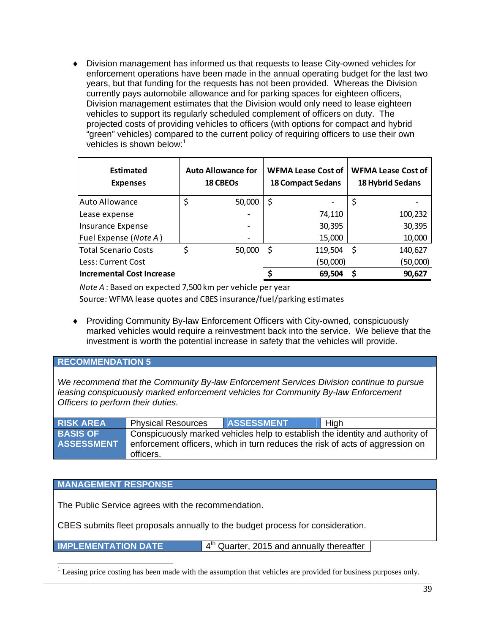Division management has informed us that requests to lease City-owned vehicles for enforcement operations have been made in the annual operating budget for the last two years, but that funding for the requests has not been provided. Whereas the Division currently pays automobile allowance and for parking spaces for eighteen officers, Division management estimates that the Division would only need to lease eighteen vehicles to support its regularly scheduled complement of officers on duty. The projected costs of providing vehicles to officers (with options for compact and hybrid "green" vehicles) compared to the current policy of requiring officers to use their own vehicles is shown below:<sup>1</sup>

| <b>Estimated</b><br><b>Expenses</b> | <b>Auto Allowance for</b><br><b>18 CBEOs</b> |    | <b>WFMA Lease Cost of</b><br><b>18 Compact Sedans</b> |    | <b>WFMA Lease Cost of</b><br><b>18 Hybrid Sedans</b> |
|-------------------------------------|----------------------------------------------|----|-------------------------------------------------------|----|------------------------------------------------------|
| <b>Auto Allowance</b>               | 50,000                                       | \$ |                                                       | \$ |                                                      |
| Lease expense                       |                                              |    | 74,110                                                |    | 100,232                                              |
| Insurance Expense                   |                                              |    | 30,395                                                |    | 30,395                                               |
| Fuel Expense (Note A)               |                                              |    | 15,000                                                |    | 10,000                                               |
| <b>Total Scenario Costs</b>         | 50,000                                       | S  | $119,504$ \$                                          |    | 140,627                                              |
| Less: Current Cost                  |                                              |    | (50,000)                                              |    | (50,000)                                             |
| <b>Incremental Cost Increase</b>    |                                              |    | 69,504                                                | S  | 90,627                                               |

*Note A* : Based on expected 7,500 km per vehicle per year

Source: WFMA lease quotes and CBES insurance/fuel/parking estimates

 Providing Community By-law Enforcement Officers with City-owned, conspicuously marked vehicles would require a reinvestment back into the service. We believe that the investment is worth the potential increase in safety that the vehicles will provide.

#### **RECOMMENDATION 5**

*We recommend that the Community By-law Enforcement Services Division continue to pursue leasing conspicuously marked enforcement vehicles for Community By-law Enforcement Officers to perform their duties.* 

| <b>RISK AREA</b>  | <b>Physical Resources</b> | <b>ASSESSMENT</b> | High                                                                          |
|-------------------|---------------------------|-------------------|-------------------------------------------------------------------------------|
| <b>BASIS OF</b>   |                           |                   | Conspicuously marked vehicles help to establish the identity and authority of |
| <b>ASSESSMENT</b> |                           |                   | enforcement officers, which in turn reduces the risk of acts of aggression on |
|                   | officers.                 |                   |                                                                               |

#### **MANAGEMENT RESPONSE**

The Public Service agrees with the recommendation.

CBES submits fleet proposals annually to the budget process for consideration.

**IMPLEMENTATION DATE** 4<sup>th</sup> Quarter, 2015 and annually thereafter

<sup>&</sup>lt;sup>1</sup> Leasing price costing has been made with the assumption that vehicles are provided for business purposes only.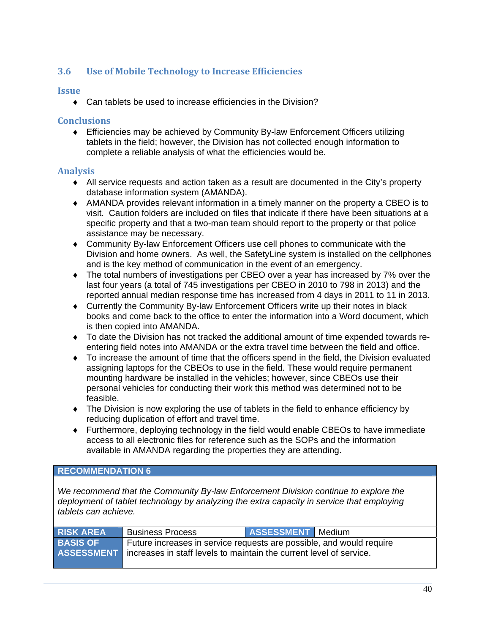#### **3.6 Use of Mobile Technology to Increase Efficiencies**

#### **Issue**

◆ Can tablets be used to increase efficiencies in the Division?

#### **Conclusions**

 Efficiencies may be achieved by Community By-law Enforcement Officers utilizing tablets in the field; however, the Division has not collected enough information to complete a reliable analysis of what the efficiencies would be.

#### **Analysis**

- All service requests and action taken as a result are documented in the City's property database information system (AMANDA).
- AMANDA provides relevant information in a timely manner on the property a CBEO is to visit. Caution folders are included on files that indicate if there have been situations at a specific property and that a two-man team should report to the property or that police assistance may be necessary.
- Community By-law Enforcement Officers use cell phones to communicate with the Division and home owners. As well, the SafetyLine system is installed on the cellphones and is the key method of communication in the event of an emergency.
- The total numbers of investigations per CBEO over a year has increased by 7% over the last four years (a total of 745 investigations per CBEO in 2010 to 798 in 2013) and the reported annual median response time has increased from 4 days in 2011 to 11 in 2013.
- Currently the Community By-law Enforcement Officers write up their notes in black books and come back to the office to enter the information into a Word document, which is then copied into AMANDA.
- To date the Division has not tracked the additional amount of time expended towards reentering field notes into AMANDA or the extra travel time between the field and office.
- To increase the amount of time that the officers spend in the field, the Division evaluated assigning laptops for the CBEOs to use in the field. These would require permanent mounting hardware be installed in the vehicles; however, since CBEOs use their personal vehicles for conducting their work this method was determined not to be feasible.
- The Division is now exploring the use of tablets in the field to enhance efficiency by reducing duplication of effort and travel time.
- Furthermore, deploying technology in the field would enable CBEOs to have immediate access to all electronic files for reference such as the SOPs and the information available in AMANDA regarding the properties they are attending.

#### **RECOMMENDATION 6**

*We recommend that the Community By-law Enforcement Division continue to explore the deployment of tablet technology by analyzing the extra capacity in service that employing tablets can achieve.* 

| <b>RISK AREA</b> | <b>Business Process</b>                                                                                                                                       | ASSESSMENT Medium |  |
|------------------|---------------------------------------------------------------------------------------------------------------------------------------------------------------|-------------------|--|
| <b>BASIS OF</b>  | Future increases in service requests are possible, and would require<br><b>ASSESSMENT</b> increases in staff levels to maintain the current level of service. |                   |  |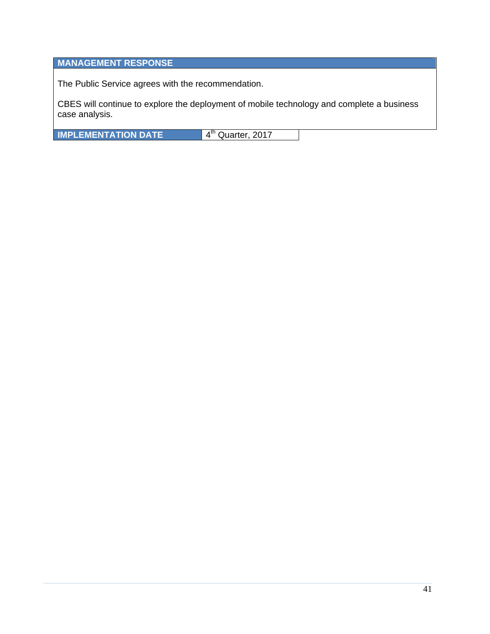### **MANAGEMENT RESPONSE**

The Public Service agrees with the recommendation.

CBES will continue to explore the deployment of mobile technology and complete a business case analysis.

**IMPLEMENTATION DATE** 4<sup>th</sup> Quarter, 2017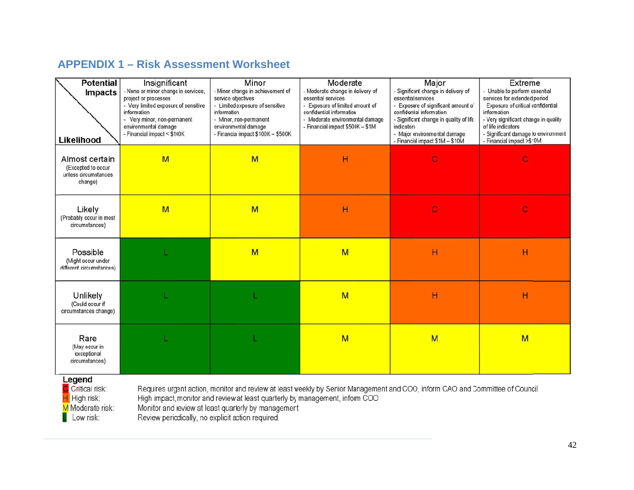## **APPENDIX 1 – Risk Assessment Worksheet**

| <b>Potential</b><br><b>Impacts</b><br>Likelihood                        | Insignificant<br>- None or minor change in services,<br>project or processes<br>- Very limited exposure of sensitive<br>information<br>- Very minor, non-permanent<br>environmental damage<br>- Financial impact < \$100K | Minor<br>- Minor change in achievement of<br>service objectives<br>- Limited exposure of sensitive<br>information<br>- Minor, non-permanent<br>environmental damage<br>- Financia impact \$100K - \$500K | Moderate<br>- Moderate change in delivery of<br>essential services<br>- Exposure of limited amount of<br>confidential information<br>- Moderate environmental damage<br>- Financial impact \$500K - \$1M | Major<br>- Significant change in delivery of<br>essential services<br>- Exposure of significant amount of<br>confidental information<br>- Significant change in quality of life<br>indicators<br>- Major environmental damage<br>- Financial impact \$1M - \$10M | Extreme<br>- Unable to perform essential<br>services for extended period<br>Exposure of critical confidential<br>information<br>- Very significant change in quality<br>of life indicators<br>- Significant damage to environment<br>- Financial impact >\$10M |
|-------------------------------------------------------------------------|---------------------------------------------------------------------------------------------------------------------------------------------------------------------------------------------------------------------------|----------------------------------------------------------------------------------------------------------------------------------------------------------------------------------------------------------|----------------------------------------------------------------------------------------------------------------------------------------------------------------------------------------------------------|------------------------------------------------------------------------------------------------------------------------------------------------------------------------------------------------------------------------------------------------------------------|----------------------------------------------------------------------------------------------------------------------------------------------------------------------------------------------------------------------------------------------------------------|
| Almost certain<br>(Excepted to occur<br>unless circumstances<br>change) | M                                                                                                                                                                                                                         | M                                                                                                                                                                                                        | H                                                                                                                                                                                                        | C                                                                                                                                                                                                                                                                | $\mathbf C$                                                                                                                                                                                                                                                    |
| Likely<br>(Probably occur in most<br>circumstances)                     | M                                                                                                                                                                                                                         | M                                                                                                                                                                                                        | H                                                                                                                                                                                                        | $\mathbf C$                                                                                                                                                                                                                                                      | $\mathbf{C}$                                                                                                                                                                                                                                                   |
| Possible<br>(Might occur under<br>different circumstances)              |                                                                                                                                                                                                                           | M                                                                                                                                                                                                        | M                                                                                                                                                                                                        | H                                                                                                                                                                                                                                                                | H                                                                                                                                                                                                                                                              |
| Unlikely<br>(Could occur if<br>circumstances change)                    |                                                                                                                                                                                                                           |                                                                                                                                                                                                          | M                                                                                                                                                                                                        | Н                                                                                                                                                                                                                                                                | H                                                                                                                                                                                                                                                              |
| Rare<br>(May occur in<br>exceptional<br>circumstances)<br>Legend        |                                                                                                                                                                                                                           |                                                                                                                                                                                                          | M                                                                                                                                                                                                        | M                                                                                                                                                                                                                                                                | M                                                                                                                                                                                                                                                              |

C Critical risk: H High risk: M Moderate risk:  $\Box$  Low risk:

Requires urgent action, monitor and review at least weekly by Senior Management and COO, inform CAO and Committee of Council<br>High impact, monitor and review at least quarterly by management, inform COO Monitor and review at least quarterly by management<br>Review periodically, no explicit action required.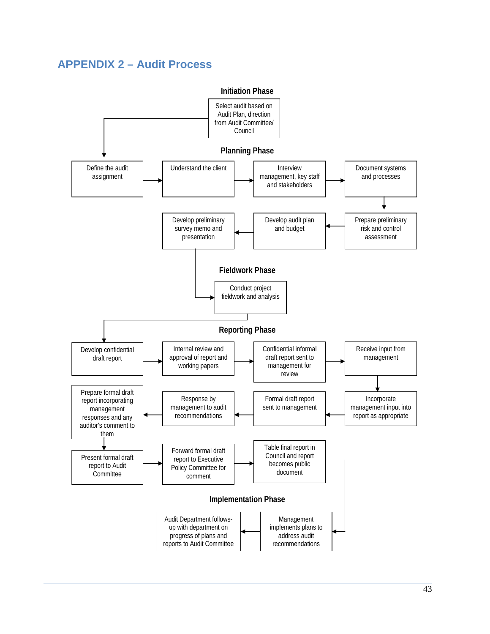# **APPENDIX 2 – Audit Process**